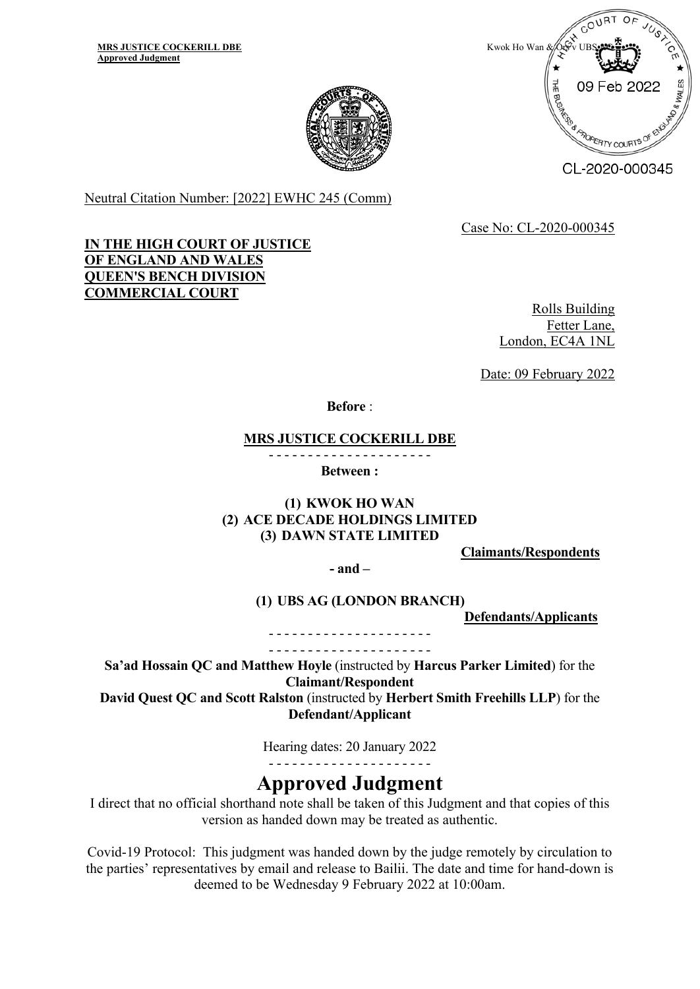

CL-2020-000345

Neutral Citation Number: [2022] EWHC 245 (Comm)

Case No: CL-2020-000345

## **IN THE HIGH COURT OF JUSTICE OF ENGLAND AND WALES QUEEN'S BENCH DIVISION COMMERCIAL COURT**

Rolls Building Fetter Lane, London, EC4A 1NL

Date: 09 February 2022

**Before** :

#### **MRS JUSTICE COCKERILL DBE**

- - - - - - - - - - - - - - - - - - - - -

**Between :**

**(1) KWOK HO WAN (2) ACE DECADE HOLDINGS LIMITED (3) DAWN STATE LIMITED** 

**Claimants/Respondents**

**- and –** 

**(1) UBS AG (LONDON BRANCH)**

**Defendants/Applicants**

- - - - - - - - - - - - - - - - - - - - - - - - - - - - - - - - - - - - - - - - - -

**Sa'ad Hossain QC and Matthew Hoyle** (instructed by **Harcus Parker Limited**) for the **Claimant/Respondent**

**David Quest QC and Scott Ralston** (instructed by **Herbert Smith Freehills LLP**) for the **Defendant/Applicant**

Hearing dates: 20 January 2022

- - - - - - - - - - - - - - - - - - - - -

# **Approved Judgment**

I direct that no official shorthand note shall be taken of this Judgment and that copies of this version as handed down may be treated as authentic.

Covid-19 Protocol: This judgment was handed down by the judge remotely by circulation to the parties' representatives by email and release to Bailii. The date and time for hand-down is deemed to be Wednesday 9 February 2022 at 10:00am.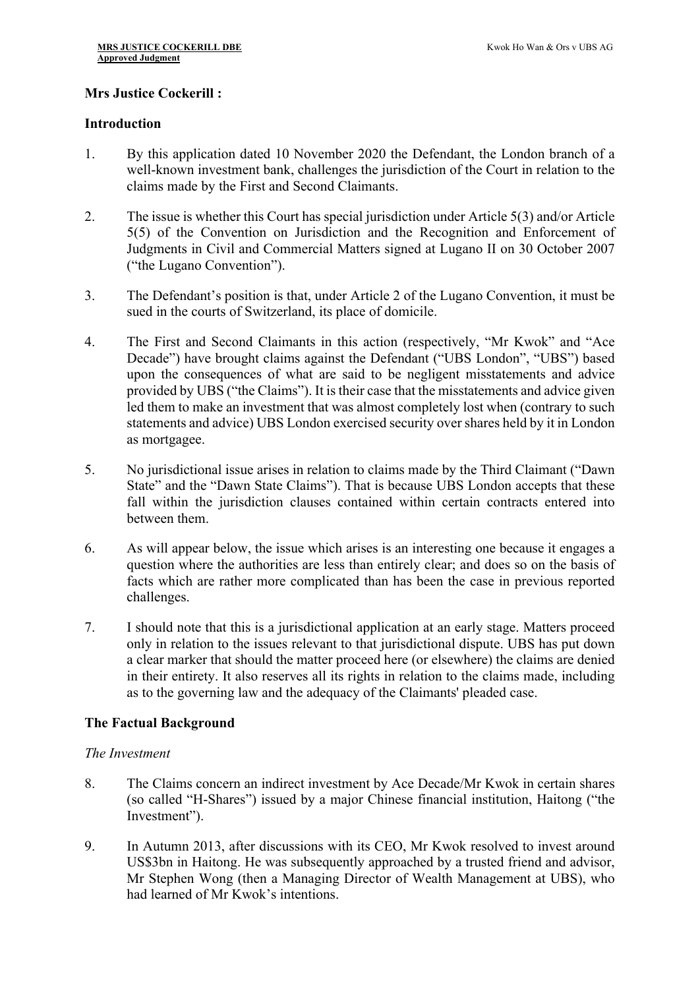## **Mrs Justice Cockerill :**

#### **Introduction**

- 1. By this application dated 10 November 2020 the Defendant, the London branch of a well-known investment bank, challenges the jurisdiction of the Court in relation to the claims made by the First and Second Claimants.
- 2. The issue is whether this Court has special jurisdiction under Article 5(3) and/or Article 5(5) of the Convention on Jurisdiction and the Recognition and Enforcement of Judgments in Civil and Commercial Matters signed at Lugano II on 30 October 2007 ("the Lugano Convention").
- 3. The Defendant's position is that, under Article 2 of the Lugano Convention, it must be sued in the courts of Switzerland, its place of domicile.
- 4. The First and Second Claimants in this action (respectively, "Mr Kwok" and "Ace Decade") have brought claims against the Defendant ("UBS London", "UBS") based upon the consequences of what are said to be negligent misstatements and advice provided by UBS ("the Claims"). It is their case that the misstatements and advice given led them to make an investment that was almost completely lost when (contrary to such statements and advice) UBS London exercised security over shares held by it in London as mortgagee.
- 5. No jurisdictional issue arises in relation to claims made by the Third Claimant ("Dawn State" and the "Dawn State Claims"). That is because UBS London accepts that these fall within the jurisdiction clauses contained within certain contracts entered into between them.
- 6. As will appear below, the issue which arises is an interesting one because it engages a question where the authorities are less than entirely clear; and does so on the basis of facts which are rather more complicated than has been the case in previous reported challenges.
- 7. I should note that this is a jurisdictional application at an early stage. Matters proceed only in relation to the issues relevant to that jurisdictional dispute. UBS has put down a clear marker that should the matter proceed here (or elsewhere) the claims are denied in their entirety. It also reserves all its rights in relation to the claims made, including as to the governing law and the adequacy of the Claimants' pleaded case.

## **The Factual Background**

## *The Investment*

- 8. The Claims concern an indirect investment by Ace Decade/Mr Kwok in certain shares (so called "H-Shares") issued by a major Chinese financial institution, Haitong ("the Investment").
- 9. In Autumn 2013, after discussions with its CEO, Mr Kwok resolved to invest around US\$3bn in Haitong. He was subsequently approached by a trusted friend and advisor, Mr Stephen Wong (then a Managing Director of Wealth Management at UBS), who had learned of Mr Kwok's intentions.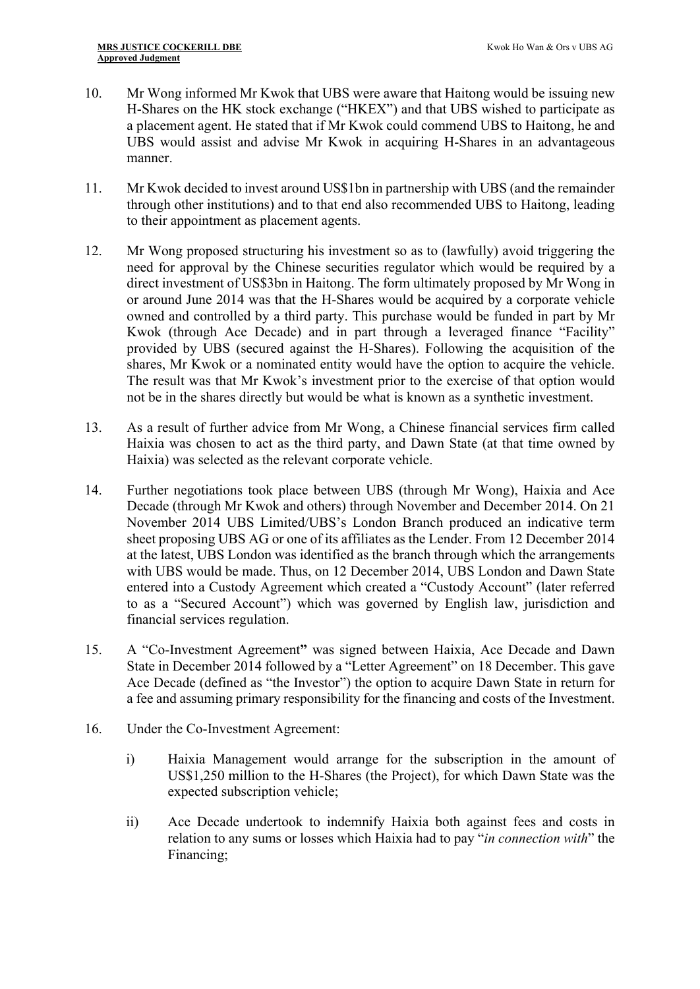- 10. Mr Wong informed Mr Kwok that UBS were aware that Haitong would be issuing new H-Shares on the HK stock exchange ("HKEX") and that UBS wished to participate as a placement agent. He stated that if Mr Kwok could commend UBS to Haitong, he and UBS would assist and advise Mr Kwok in acquiring H-Shares in an advantageous manner.
- 11. Mr Kwok decided to invest around US\$1bn in partnership with UBS (and the remainder through other institutions) and to that end also recommended UBS to Haitong, leading to their appointment as placement agents.
- 12. Mr Wong proposed structuring his investment so as to (lawfully) avoid triggering the need for approval by the Chinese securities regulator which would be required by a direct investment of US\$3bn in Haitong. The form ultimately proposed by Mr Wong in or around June 2014 was that the H-Shares would be acquired by a corporate vehicle owned and controlled by a third party. This purchase would be funded in part by Mr Kwok (through Ace Decade) and in part through a leveraged finance "Facility" provided by UBS (secured against the H-Shares). Following the acquisition of the shares, Mr Kwok or a nominated entity would have the option to acquire the vehicle. The result was that Mr Kwok's investment prior to the exercise of that option would not be in the shares directly but would be what is known as a synthetic investment.
- 13. As a result of further advice from Mr Wong, a Chinese financial services firm called Haixia was chosen to act as the third party, and Dawn State (at that time owned by Haixia) was selected as the relevant corporate vehicle.
- 14. Further negotiations took place between UBS (through Mr Wong), Haixia and Ace Decade (through Mr Kwok and others) through November and December 2014. On 21 November 2014 UBS Limited/UBS's London Branch produced an indicative term sheet proposing UBS AG or one of its affiliates as the Lender. From 12 December 2014 at the latest, UBS London was identified as the branch through which the arrangements with UBS would be made. Thus, on 12 December 2014, UBS London and Dawn State entered into a Custody Agreement which created a "Custody Account" (later referred to as a "Secured Account") which was governed by English law, jurisdiction and financial services regulation.
- 15. A "Co-Investment Agreement**"** was signed between Haixia, Ace Decade and Dawn State in December 2014 followed by a "Letter Agreement" on 18 December. This gave Ace Decade (defined as "the Investor") the option to acquire Dawn State in return for a fee and assuming primary responsibility for the financing and costs of the Investment.
- 16. Under the Co-Investment Agreement:
	- i) Haixia Management would arrange for the subscription in the amount of US\$1,250 million to the H-Shares (the Project), for which Dawn State was the expected subscription vehicle;
	- ii) Ace Decade undertook to indemnify Haixia both against fees and costs in relation to any sums or losses which Haixia had to pay "*in connection with*" the Financing;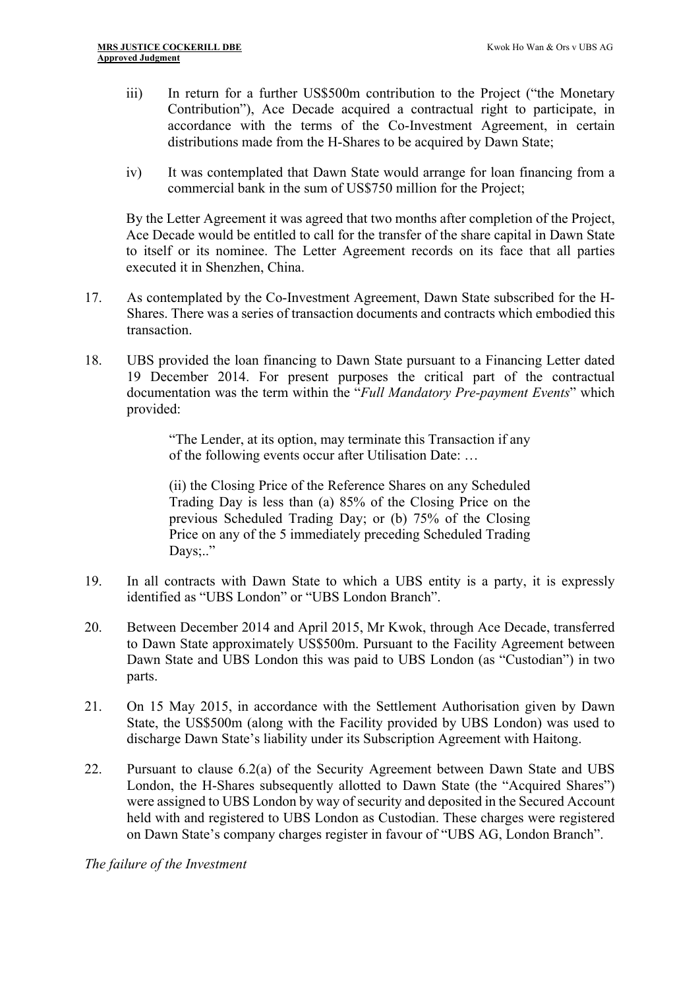- iii) In return for a further US\$500m contribution to the Project ("the Monetary Contribution"), Ace Decade acquired a contractual right to participate, in accordance with the terms of the Co-Investment Agreement, in certain distributions made from the H-Shares to be acquired by Dawn State;
- iv) It was contemplated that Dawn State would arrange for loan financing from a commercial bank in the sum of US\$750 million for the Project;

By the Letter Agreement it was agreed that two months after completion of the Project, Ace Decade would be entitled to call for the transfer of the share capital in Dawn State to itself or its nominee. The Letter Agreement records on its face that all parties executed it in Shenzhen, China.

- 17. As contemplated by the Co-Investment Agreement, Dawn State subscribed for the H-Shares. There was a series of transaction documents and contracts which embodied this transaction.
- 18. UBS provided the loan financing to Dawn State pursuant to a Financing Letter dated 19 December 2014. For present purposes the critical part of the contractual documentation was the term within the "*Full Mandatory Pre-payment Events*" which provided:

"The Lender, at its option, may terminate this Transaction if any of the following events occur after Utilisation Date: …

(ii) the Closing Price of the Reference Shares on any Scheduled Trading Day is less than (a) 85% of the Closing Price on the previous Scheduled Trading Day; or (b) 75% of the Closing Price on any of the 5 immediately preceding Scheduled Trading Days;.."

- 19. In all contracts with Dawn State to which a UBS entity is a party, it is expressly identified as "UBS London" or "UBS London Branch".
- 20. Between December 2014 and April 2015, Mr Kwok, through Ace Decade, transferred to Dawn State approximately US\$500m. Pursuant to the Facility Agreement between Dawn State and UBS London this was paid to UBS London (as "Custodian") in two parts.
- 21. On 15 May 2015, in accordance with the Settlement Authorisation given by Dawn State, the US\$500m (along with the Facility provided by UBS London) was used to discharge Dawn State's liability under its Subscription Agreement with Haitong.
- 22. Pursuant to clause 6.2(a) of the Security Agreement between Dawn State and UBS London, the H-Shares subsequently allotted to Dawn State (the "Acquired Shares") were assigned to UBS London by way of security and deposited in the Secured Account held with and registered to UBS London as Custodian. These charges were registered on Dawn State's company charges register in favour of "UBS AG, London Branch".

*The failure of the Investment*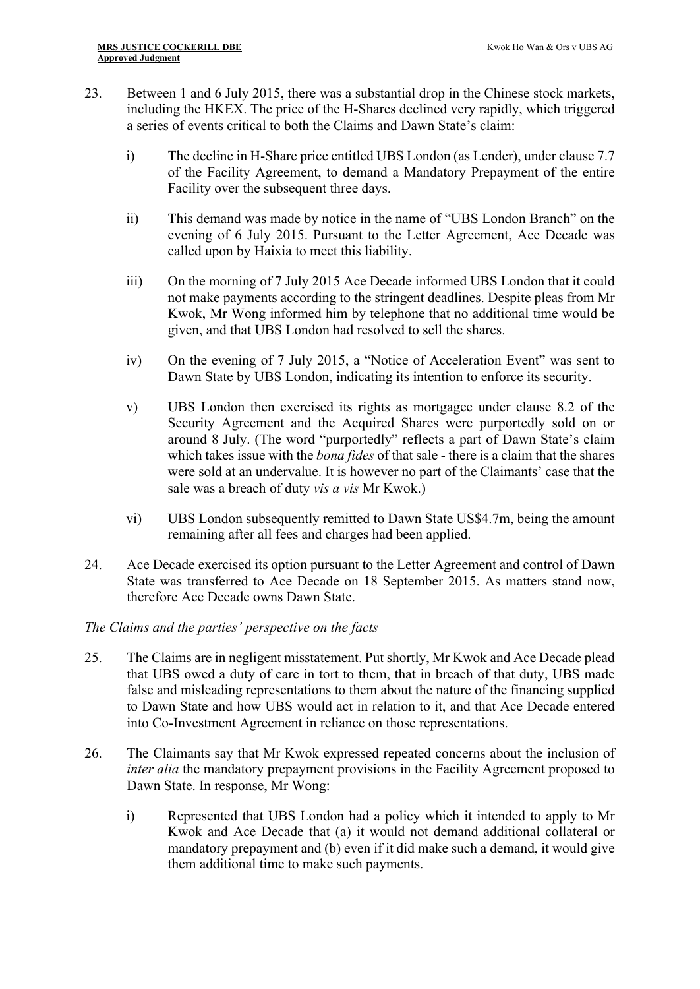- 23. Between 1 and 6 July 2015, there was a substantial drop in the Chinese stock markets, including the HKEX. The price of the H-Shares declined very rapidly, which triggered a series of events critical to both the Claims and Dawn State's claim:
	- i) The decline in H-Share price entitled UBS London (as Lender), under clause 7.7 of the Facility Agreement, to demand a Mandatory Prepayment of the entire Facility over the subsequent three days.
	- ii) This demand was made by notice in the name of "UBS London Branch" on the evening of 6 July 2015. Pursuant to the Letter Agreement, Ace Decade was called upon by Haixia to meet this liability.
	- iii) On the morning of 7 July 2015 Ace Decade informed UBS London that it could not make payments according to the stringent deadlines. Despite pleas from Mr Kwok, Mr Wong informed him by telephone that no additional time would be given, and that UBS London had resolved to sell the shares.
	- iv) On the evening of 7 July 2015, a "Notice of Acceleration Event" was sent to Dawn State by UBS London, indicating its intention to enforce its security.
	- v) UBS London then exercised its rights as mortgagee under clause 8.2 of the Security Agreement and the Acquired Shares were purportedly sold on or around 8 July. (The word "purportedly" reflects a part of Dawn State's claim which takes issue with the *bona fides* of that sale - there is a claim that the shares were sold at an undervalue. It is however no part of the Claimants' case that the sale was a breach of duty *vis a vis* Mr Kwok.)
	- vi) UBS London subsequently remitted to Dawn State US\$4.7m, being the amount remaining after all fees and charges had been applied.
- 24. Ace Decade exercised its option pursuant to the Letter Agreement and control of Dawn State was transferred to Ace Decade on 18 September 2015. As matters stand now, therefore Ace Decade owns Dawn State.

## *The Claims and the parties' perspective on the facts*

- 25. The Claims are in negligent misstatement. Put shortly, Mr Kwok and Ace Decade plead that UBS owed a duty of care in tort to them, that in breach of that duty, UBS made false and misleading representations to them about the nature of the financing supplied to Dawn State and how UBS would act in relation to it, and that Ace Decade entered into Co-Investment Agreement in reliance on those representations.
- 26. The Claimants say that Mr Kwok expressed repeated concerns about the inclusion of *inter alia* the mandatory prepayment provisions in the Facility Agreement proposed to Dawn State. In response, Mr Wong:
	- i) Represented that UBS London had a policy which it intended to apply to Mr Kwok and Ace Decade that (a) it would not demand additional collateral or mandatory prepayment and (b) even if it did make such a demand, it would give them additional time to make such payments.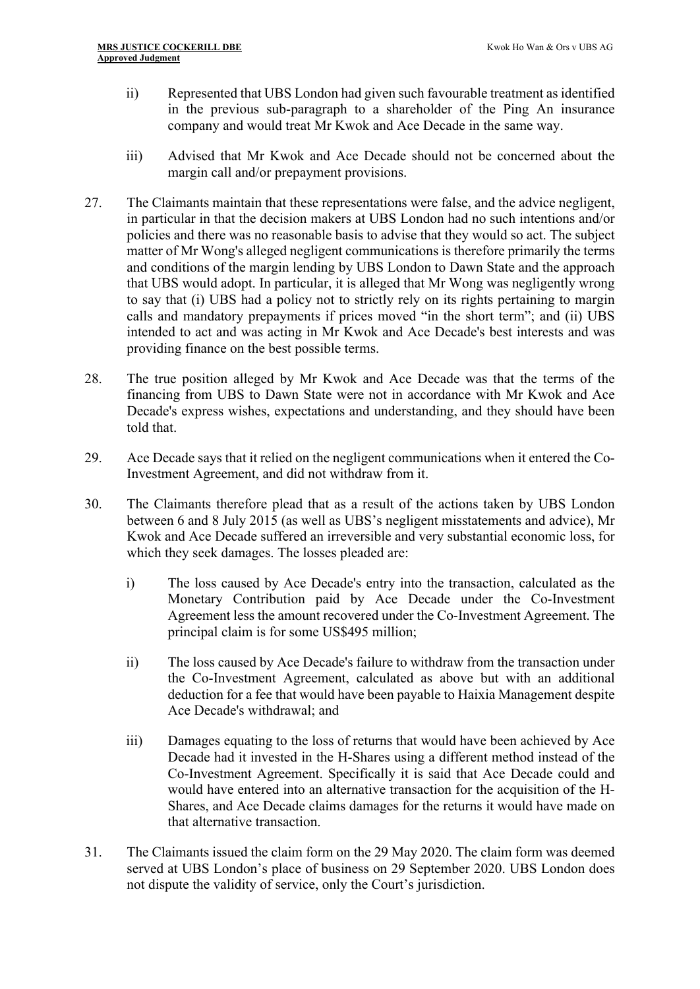- ii) Represented that UBS London had given such favourable treatment as identified in the previous sub-paragraph to a shareholder of the Ping An insurance company and would treat Mr Kwok and Ace Decade in the same way.
- iii) Advised that Mr Kwok and Ace Decade should not be concerned about the margin call and/or prepayment provisions.
- 27. The Claimants maintain that these representations were false, and the advice negligent, in particular in that the decision makers at UBS London had no such intentions and/or policies and there was no reasonable basis to advise that they would so act. The subject matter of Mr Wong's alleged negligent communications is therefore primarily the terms and conditions of the margin lending by UBS London to Dawn State and the approach that UBS would adopt. In particular, it is alleged that Mr Wong was negligently wrong to say that (i) UBS had a policy not to strictly rely on its rights pertaining to margin calls and mandatory prepayments if prices moved "in the short term"; and (ii) UBS intended to act and was acting in Mr Kwok and Ace Decade's best interests and was providing finance on the best possible terms.
- 28. The true position alleged by Mr Kwok and Ace Decade was that the terms of the financing from UBS to Dawn State were not in accordance with Mr Kwok and Ace Decade's express wishes, expectations and understanding, and they should have been told that.
- 29. Ace Decade says that it relied on the negligent communications when it entered the Co-Investment Agreement, and did not withdraw from it.
- 30. The Claimants therefore plead that as a result of the actions taken by UBS London between 6 and 8 July 2015 (as well as UBS's negligent misstatements and advice), Mr Kwok and Ace Decade suffered an irreversible and very substantial economic loss, for which they seek damages. The losses pleaded are:
	- i) The loss caused by Ace Decade's entry into the transaction, calculated as the Monetary Contribution paid by Ace Decade under the Co-Investment Agreement less the amount recovered under the Co-Investment Agreement. The principal claim is for some US\$495 million;
	- ii) The loss caused by Ace Decade's failure to withdraw from the transaction under the Co-Investment Agreement, calculated as above but with an additional deduction for a fee that would have been payable to Haixia Management despite Ace Decade's withdrawal; and
	- iii) Damages equating to the loss of returns that would have been achieved by Ace Decade had it invested in the H-Shares using a different method instead of the Co-Investment Agreement. Specifically it is said that Ace Decade could and would have entered into an alternative transaction for the acquisition of the H-Shares, and Ace Decade claims damages for the returns it would have made on that alternative transaction.
- 31. The Claimants issued the claim form on the 29 May 2020. The claim form was deemed served at UBS London's place of business on 29 September 2020. UBS London does not dispute the validity of service, only the Court's jurisdiction.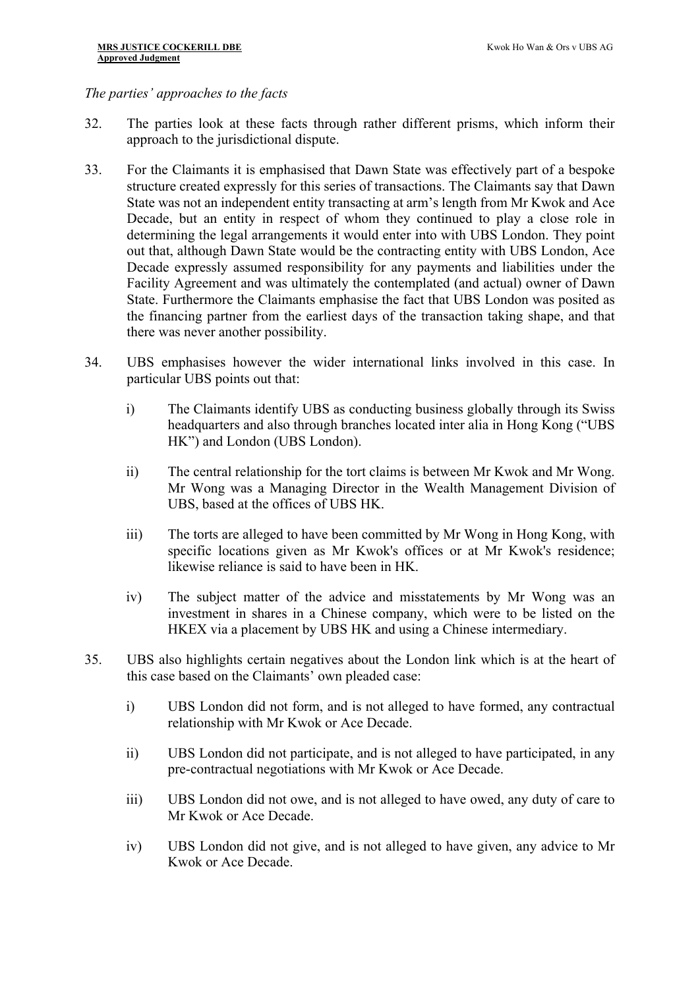#### *The parties' approaches to the facts*

- 32. The parties look at these facts through rather different prisms, which inform their approach to the jurisdictional dispute.
- 33. For the Claimants it is emphasised that Dawn State was effectively part of a bespoke structure created expressly for this series of transactions. The Claimants say that Dawn State was not an independent entity transacting at arm's length from Mr Kwok and Ace Decade, but an entity in respect of whom they continued to play a close role in determining the legal arrangements it would enter into with UBS London. They point out that, although Dawn State would be the contracting entity with UBS London, Ace Decade expressly assumed responsibility for any payments and liabilities under the Facility Agreement and was ultimately the contemplated (and actual) owner of Dawn State. Furthermore the Claimants emphasise the fact that UBS London was posited as the financing partner from the earliest days of the transaction taking shape, and that there was never another possibility.
- 34. UBS emphasises however the wider international links involved in this case. In particular UBS points out that:
	- i) The Claimants identify UBS as conducting business globally through its Swiss headquarters and also through branches located inter alia in Hong Kong ("UBS HK") and London (UBS London).
	- ii) The central relationship for the tort claims is between Mr Kwok and Mr Wong. Mr Wong was a Managing Director in the Wealth Management Division of UBS, based at the offices of UBS HK.
	- iii) The torts are alleged to have been committed by Mr Wong in Hong Kong, with specific locations given as Mr Kwok's offices or at Mr Kwok's residence; likewise reliance is said to have been in HK.
	- iv) The subject matter of the advice and misstatements by Mr Wong was an investment in shares in a Chinese company, which were to be listed on the HKEX via a placement by UBS HK and using a Chinese intermediary.
- 35. UBS also highlights certain negatives about the London link which is at the heart of this case based on the Claimants' own pleaded case:
	- i) UBS London did not form, and is not alleged to have formed, any contractual relationship with Mr Kwok or Ace Decade.
	- ii) UBS London did not participate, and is not alleged to have participated, in any pre-contractual negotiations with Mr Kwok or Ace Decade.
	- iii) UBS London did not owe, and is not alleged to have owed, any duty of care to Mr Kwok or Ace Decade.
	- iv) UBS London did not give, and is not alleged to have given, any advice to Mr Kwok or Ace Decade.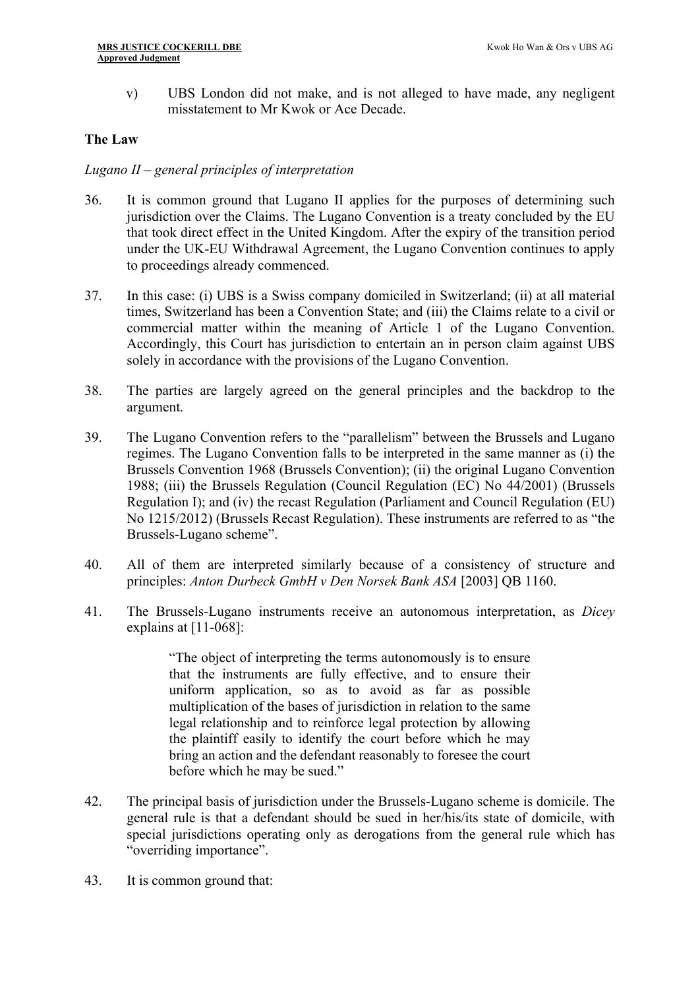v) UBS London did not make, and is not alleged to have made, any negligent misstatement to Mr Kwok or Ace Decade.

#### **The Law**

#### *Lugano II – general principles of interpretation*

- 36. It is common ground that Lugano II applies for the purposes of determining such jurisdiction over the Claims. The Lugano Convention is a treaty concluded by the EU that took direct effect in the United Kingdom. After the expiry of the transition period under the UK-EU Withdrawal Agreement, the Lugano Convention continues to apply to proceedings already commenced.
- 37. In this case: (i) UBS is a Swiss company domiciled in Switzerland; (ii) at all material times, Switzerland has been a Convention State; and (iii) the Claims relate to a civil or commercial matter within the meaning of Article 1 of the Lugano Convention. Accordingly, this Court has jurisdiction to entertain an in person claim against UBS solely in accordance with the provisions of the Lugano Convention.
- 38. The parties are largely agreed on the general principles and the backdrop to the argument.
- 39. The Lugano Convention refers to the "parallelism" between the Brussels and Lugano regimes. The Lugano Convention falls to be interpreted in the same manner as (i) the Brussels Convention 1968 (Brussels Convention); (ii) the original Lugano Convention 1988; (iii) the Brussels Regulation (Council Regulation (EC) No 44/2001) (Brussels Regulation I); and (iv) the recast Regulation (Parliament and Council Regulation (EU) No 1215/2012) (Brussels Recast Regulation). These instruments are referred to as "the Brussels-Lugano scheme".
- 40. All of them are interpreted similarly because of a consistency of structure and principles: *Anton Durbeck GmbH v Den Norsek Bank ASA* [2003] QB 1160.
- 41. The Brussels-Lugano instruments receive an autonomous interpretation, as *Dicey* explains at [11-068]:

"The object of interpreting the terms autonomously is to ensure that the instruments are fully effective, and to ensure their uniform application, so as to avoid as far as possible multiplication of the bases of jurisdiction in relation to the same legal relationship and to reinforce legal protection by allowing the plaintiff easily to identify the court before which he may bring an action and the defendant reasonably to foresee the court before which he may be sued."

- 42. The principal basis of jurisdiction under the Brussels-Lugano scheme is domicile. The general rule is that a defendant should be sued in her/his/its state of domicile, with special jurisdictions operating only as derogations from the general rule which has "overriding importance".
- 43. It is common ground that: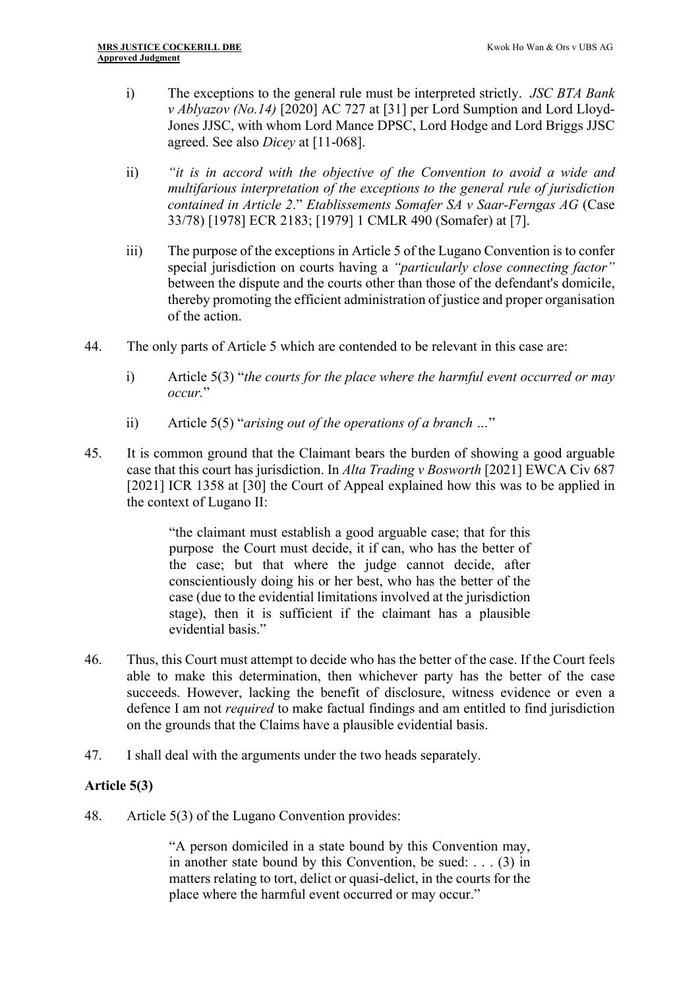- i) The exceptions to the general rule must be interpreted strictly. *JSC BTA Bank v Ablyazov (No.14)* [2020] AC 727 at [31] per Lord Sumption and Lord Lloyd-Jones JJSC, with whom Lord Mance DPSC, Lord Hodge and Lord Briggs JJSC agreed. See also *Dicey* at [11-068].
- ii) *"it is in accord with the objective of the Convention to avoid a wide and multifarious interpretation of the exceptions to the general rule of jurisdiction contained in Article 2*." *Etablissements Somafer SA v Saar-Ferngas AG* (Case 33/78) [1978] ECR 2183; [1979] 1 CMLR 490 (Somafer) at [7].
- iii) The purpose of the exceptions in Article 5 of the Lugano Convention is to confer special jurisdiction on courts having a *"particularly close connecting factor"* between the dispute and the courts other than those of the defendant's domicile, thereby promoting the efficient administration of justice and proper organisation of the action.
- 44. The only parts of Article 5 which are contended to be relevant in this case are:
	- i) Article 5(3) "*the courts for the place where the harmful event occurred or may occur.*"
	- ii) Article 5(5) "*arising out of the operations of a branch …*"
- 45. It is common ground that the Claimant bears the burden of showing a good arguable case that this court has jurisdiction. In *Alta Trading v Bosworth* [2021] EWCA Civ 687 [2021] ICR 1358 at [30] the Court of Appeal explained how this was to be applied in the context of Lugano II:

"the claimant must establish a good arguable case; that for this purpose the Court must decide, it if can, who has the better of the case; but that where the judge cannot decide, after conscientiously doing his or her best, who has the better of the case (due to the evidential limitations involved at the jurisdiction stage), then it is sufficient if the claimant has a plausible evidential basis."

- 46. Thus, this Court must attempt to decide who has the better of the case. If the Court feels able to make this determination, then whichever party has the better of the case succeeds. However, lacking the benefit of disclosure, witness evidence or even a defence I am not *required* to make factual findings and am entitled to find jurisdiction on the grounds that the Claims have a plausible evidential basis.
- 47. I shall deal with the arguments under the two heads separately.

## **Article 5(3)**

48. Article 5(3) of the Lugano Convention provides:

"A person domiciled in a state bound by this Convention may, in another state bound by this Convention, be sued: . . . (3) in matters relating to tort, delict or quasi-delict, in the courts for the place where the harmful event occurred or may occur."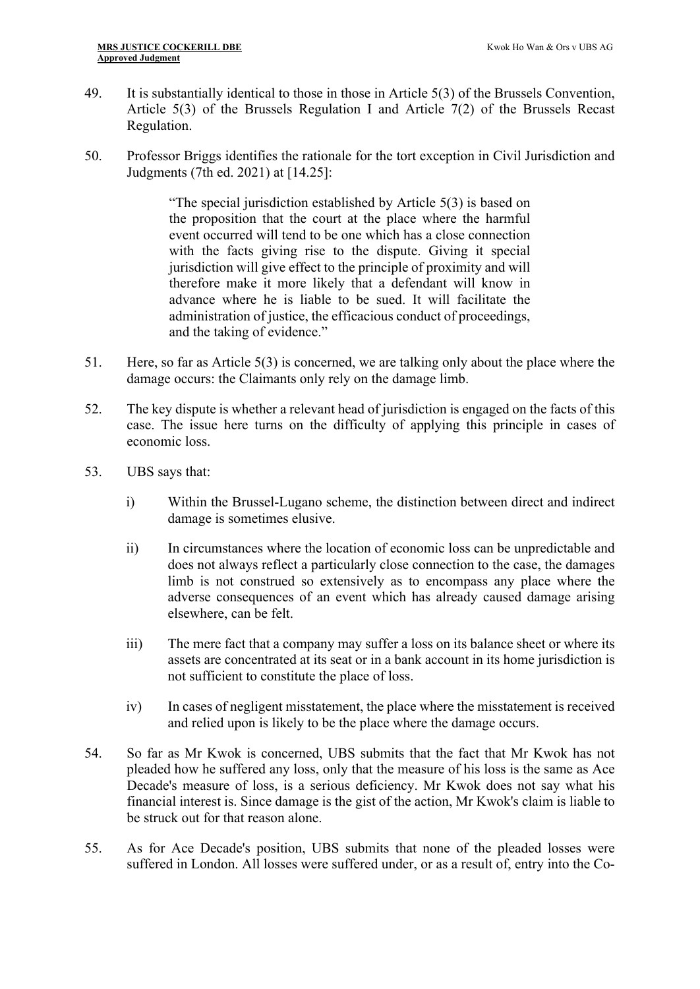- 49. It is substantially identical to those in those in Article 5(3) of the Brussels Convention, Article 5(3) of the Brussels Regulation I and Article 7(2) of the Brussels Recast Regulation.
- 50. Professor Briggs identifies the rationale for the tort exception in Civil Jurisdiction and Judgments (7th ed. 2021) at [14.25]:

"The special jurisdiction established by Article 5(3) is based on the proposition that the court at the place where the harmful event occurred will tend to be one which has a close connection with the facts giving rise to the dispute. Giving it special jurisdiction will give effect to the principle of proximity and will therefore make it more likely that a defendant will know in advance where he is liable to be sued. It will facilitate the administration of justice, the efficacious conduct of proceedings, and the taking of evidence."

- 51. Here, so far as Article 5(3) is concerned, we are talking only about the place where the damage occurs: the Claimants only rely on the damage limb.
- 52. The key dispute is whether a relevant head of jurisdiction is engaged on the facts of this case. The issue here turns on the difficulty of applying this principle in cases of economic loss.
- 53. UBS says that:
	- i) Within the Brussel-Lugano scheme, the distinction between direct and indirect damage is sometimes elusive.
	- ii) In circumstances where the location of economic loss can be unpredictable and does not always reflect a particularly close connection to the case, the damages limb is not construed so extensively as to encompass any place where the adverse consequences of an event which has already caused damage arising elsewhere, can be felt.
	- iii) The mere fact that a company may suffer a loss on its balance sheet or where its assets are concentrated at its seat or in a bank account in its home jurisdiction is not sufficient to constitute the place of loss.
	- iv) In cases of negligent misstatement, the place where the misstatement is received and relied upon is likely to be the place where the damage occurs.
- 54. So far as Mr Kwok is concerned, UBS submits that the fact that Mr Kwok has not pleaded how he suffered any loss, only that the measure of his loss is the same as Ace Decade's measure of loss, is a serious deficiency. Mr Kwok does not say what his financial interest is. Since damage is the gist of the action, Mr Kwok's claim is liable to be struck out for that reason alone.
- 55. As for Ace Decade's position, UBS submits that none of the pleaded losses were suffered in London. All losses were suffered under, or as a result of, entry into the Co-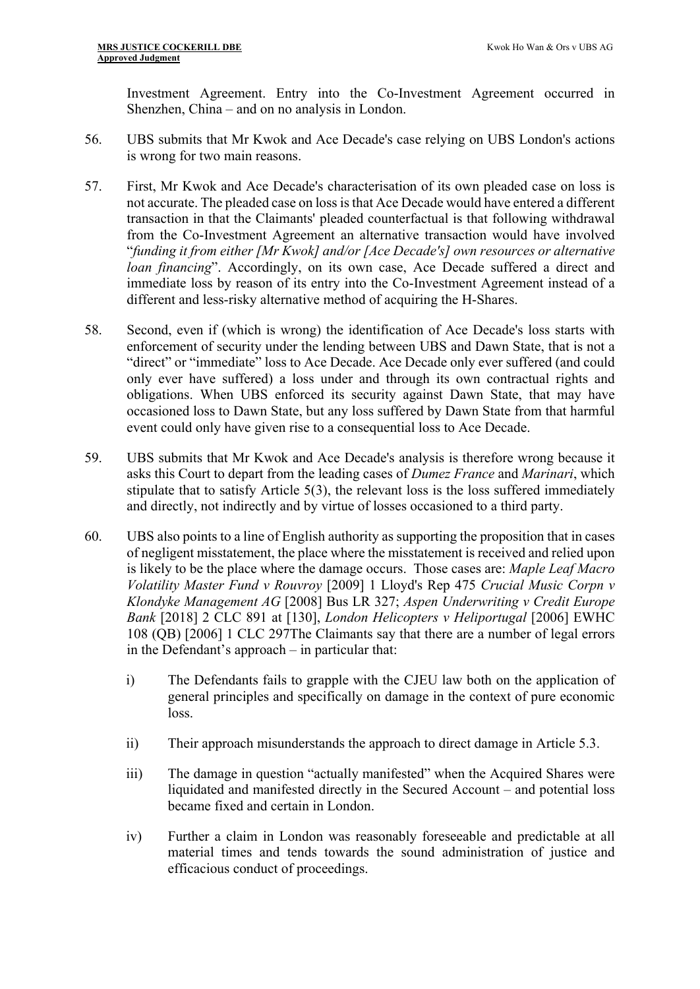Investment Agreement. Entry into the Co-Investment Agreement occurred in Shenzhen, China – and on no analysis in London.

- 56. UBS submits that Mr Kwok and Ace Decade's case relying on UBS London's actions is wrong for two main reasons.
- 57. First, Mr Kwok and Ace Decade's characterisation of its own pleaded case on loss is not accurate. The pleaded case on loss is that Ace Decade would have entered a different transaction in that the Claimants' pleaded counterfactual is that following withdrawal from the Co-Investment Agreement an alternative transaction would have involved "*funding it from either [Mr Kwok] and/or [Ace Decade's] own resources or alternative loan financing*". Accordingly, on its own case, Ace Decade suffered a direct and immediate loss by reason of its entry into the Co-Investment Agreement instead of a different and less-risky alternative method of acquiring the H-Shares.
- 58. Second, even if (which is wrong) the identification of Ace Decade's loss starts with enforcement of security under the lending between UBS and Dawn State, that is not a "direct" or "immediate" loss to Ace Decade. Ace Decade only ever suffered (and could only ever have suffered) a loss under and through its own contractual rights and obligations. When UBS enforced its security against Dawn State, that may have occasioned loss to Dawn State, but any loss suffered by Dawn State from that harmful event could only have given rise to a consequential loss to Ace Decade.
- 59. UBS submits that Mr Kwok and Ace Decade's analysis is therefore wrong because it asks this Court to depart from the leading cases of *Dumez France* and *Marinari*, which stipulate that to satisfy Article 5(3), the relevant loss is the loss suffered immediately and directly, not indirectly and by virtue of losses occasioned to a third party.
- 60. UBS also points to a line of English authority as supporting the proposition that in cases of negligent misstatement, the place where the misstatement is received and relied upon is likely to be the place where the damage occurs. Those cases are: *Maple Leaf Macro Volatility Master Fund v Rouvroy* [2009] 1 Lloyd's Rep 475 *Crucial Music Corpn v Klondyke Management AG* [2008] Bus LR 327; *Aspen Underwriting v Credit Europe Bank* [2018] 2 CLC 891 at [130], *London Helicopters v Heliportugal* [2006] EWHC 108 (QB) [2006] 1 CLC 297The Claimants say that there are a number of legal errors in the Defendant's approach – in particular that:
	- i) The Defendants fails to grapple with the CJEU law both on the application of general principles and specifically on damage in the context of pure economic loss.
	- ii) Their approach misunderstands the approach to direct damage in Article 5.3.
	- iii) The damage in question "actually manifested" when the Acquired Shares were liquidated and manifested directly in the Secured Account – and potential loss became fixed and certain in London.
	- iv) Further a claim in London was reasonably foreseeable and predictable at all material times and tends towards the sound administration of justice and efficacious conduct of proceedings.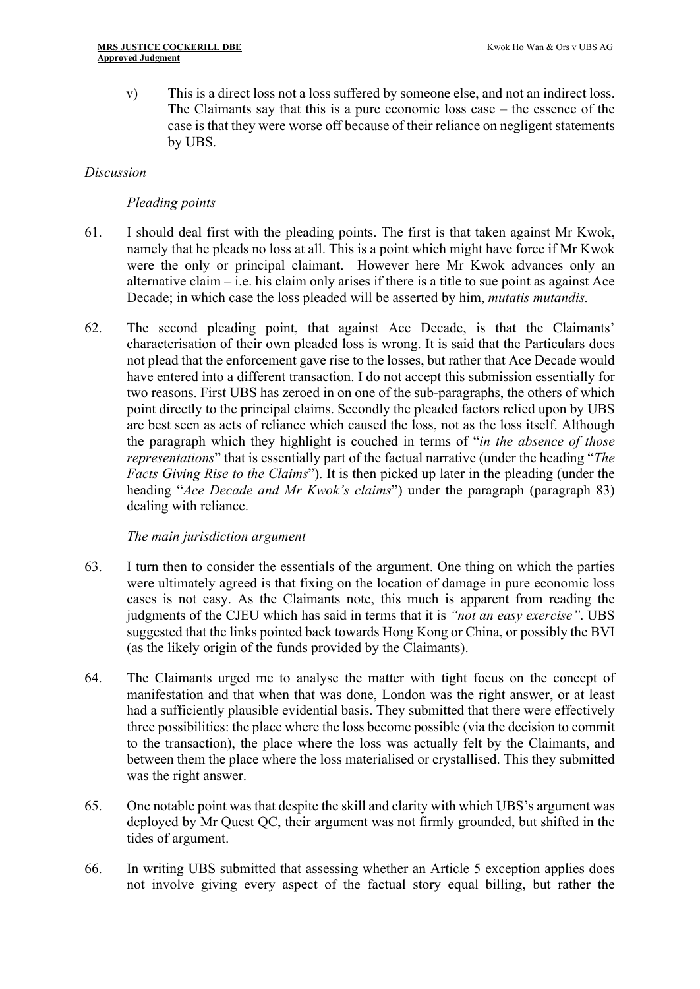v) This is a direct loss not a loss suffered by someone else, and not an indirect loss. The Claimants say that this is a pure economic loss case – the essence of the case is that they were worse off because of their reliance on negligent statements by UBS.

#### *Discussion*

## *Pleading points*

- 61. I should deal first with the pleading points. The first is that taken against Mr Kwok, namely that he pleads no loss at all. This is a point which might have force if Mr Kwok were the only or principal claimant. However here Mr Kwok advances only an alternative claim  $-$  i.e. his claim only arises if there is a title to sue point as against Ace Decade; in which case the loss pleaded will be asserted by him, *mutatis mutandis.*
- 62. The second pleading point, that against Ace Decade, is that the Claimants' characterisation of their own pleaded loss is wrong. It is said that the Particulars does not plead that the enforcement gave rise to the losses, but rather that Ace Decade would have entered into a different transaction. I do not accept this submission essentially for two reasons. First UBS has zeroed in on one of the sub-paragraphs, the others of which point directly to the principal claims. Secondly the pleaded factors relied upon by UBS are best seen as acts of reliance which caused the loss, not as the loss itself. Although the paragraph which they highlight is couched in terms of "*in the absence of those representations*" that is essentially part of the factual narrative (under the heading "*The Facts Giving Rise to the Claims*"). It is then picked up later in the pleading (under the heading "*Ace Decade and Mr Kwok's claims*") under the paragraph (paragraph 83) dealing with reliance.

#### *The main jurisdiction argument*

- 63. I turn then to consider the essentials of the argument. One thing on which the parties were ultimately agreed is that fixing on the location of damage in pure economic loss cases is not easy. As the Claimants note, this much is apparent from reading the judgments of the CJEU which has said in terms that it is *"not an easy exercise"*. UBS suggested that the links pointed back towards Hong Kong or China, or possibly the BVI (as the likely origin of the funds provided by the Claimants).
- 64. The Claimants urged me to analyse the matter with tight focus on the concept of manifestation and that when that was done, London was the right answer, or at least had a sufficiently plausible evidential basis. They submitted that there were effectively three possibilities: the place where the loss become possible (via the decision to commit to the transaction), the place where the loss was actually felt by the Claimants, and between them the place where the loss materialised or crystallised. This they submitted was the right answer.
- 65. One notable point was that despite the skill and clarity with which UBS's argument was deployed by Mr Quest QC, their argument was not firmly grounded, but shifted in the tides of argument.
- 66. In writing UBS submitted that assessing whether an Article 5 exception applies does not involve giving every aspect of the factual story equal billing, but rather the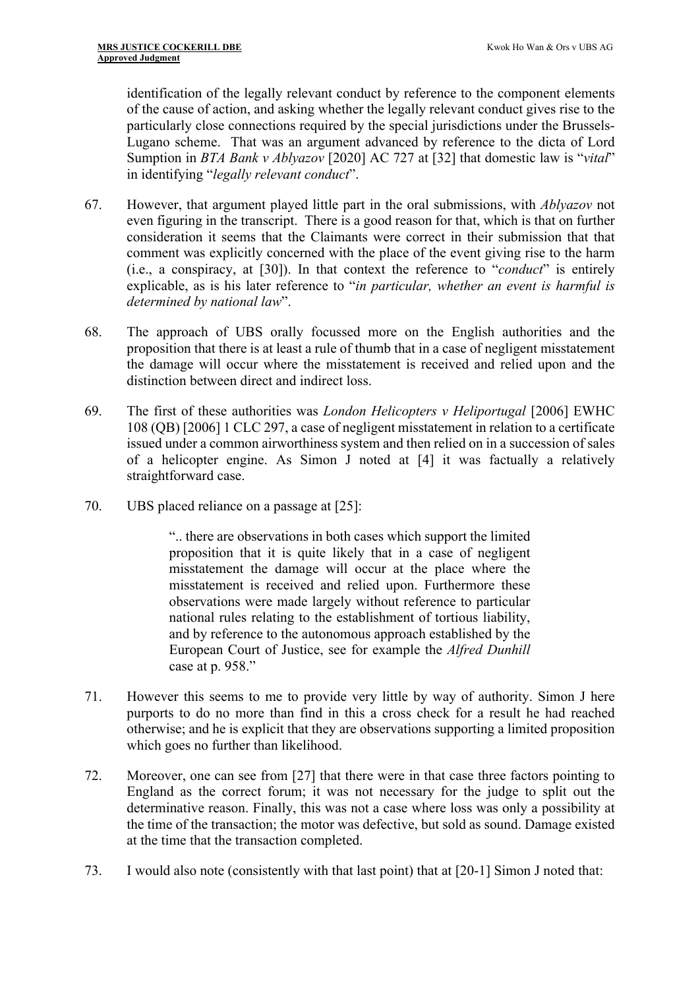identification of the legally relevant conduct by reference to the component elements of the cause of action, and asking whether the legally relevant conduct gives rise to the particularly close connections required by the special jurisdictions under the Brussels-Lugano scheme. That was an argument advanced by reference to the dicta of Lord Sumption in *BTA Bank v Ablyazov* [2020] AC 727 at [32] that domestic law is "*vital*" in identifying "*legally relevant conduct*".

- 67. However, that argument played little part in the oral submissions, with *Ablyazov* not even figuring in the transcript. There is a good reason for that, which is that on further consideration it seems that the Claimants were correct in their submission that that comment was explicitly concerned with the place of the event giving rise to the harm (i.e., a conspiracy, at [30]). In that context the reference to "*conduct*" is entirely explicable, as is his later reference to "*in particular, whether an event is harmful is determined by national law*".
- 68. The approach of UBS orally focussed more on the English authorities and the proposition that there is at least a rule of thumb that in a case of negligent misstatement the damage will occur where the misstatement is received and relied upon and the distinction between direct and indirect loss.
- 69. The first of these authorities was *London Helicopters v Heliportugal* [2006] EWHC 108 (QB) [2006] 1 CLC 297, a case of negligent misstatement in relation to a certificate issued under a common airworthiness system and then relied on in a succession of sales of a helicopter engine. As Simon J noted at [4] it was factually a relatively straightforward case.
- 70. UBS placed reliance on a passage at [25]:

".. there are observations in both cases which support the limited proposition that it is quite likely that in a case of negligent misstatement the damage will occur at the place where the misstatement is received and relied upon. Furthermore these observations were made largely without reference to particular national rules relating to the establishment of tortious liability, and by reference to the autonomous approach established by the European Court of Justice, see for example the *Alfred Dunhill* case at p. 958."

- 71. However this seems to me to provide very little by way of authority. Simon J here purports to do no more than find in this a cross check for a result he had reached otherwise; and he is explicit that they are observations supporting a limited proposition which goes no further than likelihood.
- 72. Moreover, one can see from [27] that there were in that case three factors pointing to England as the correct forum; it was not necessary for the judge to split out the determinative reason. Finally, this was not a case where loss was only a possibility at the time of the transaction; the motor was defective, but sold as sound. Damage existed at the time that the transaction completed.
- 73. I would also note (consistently with that last point) that at [20-1] Simon J noted that: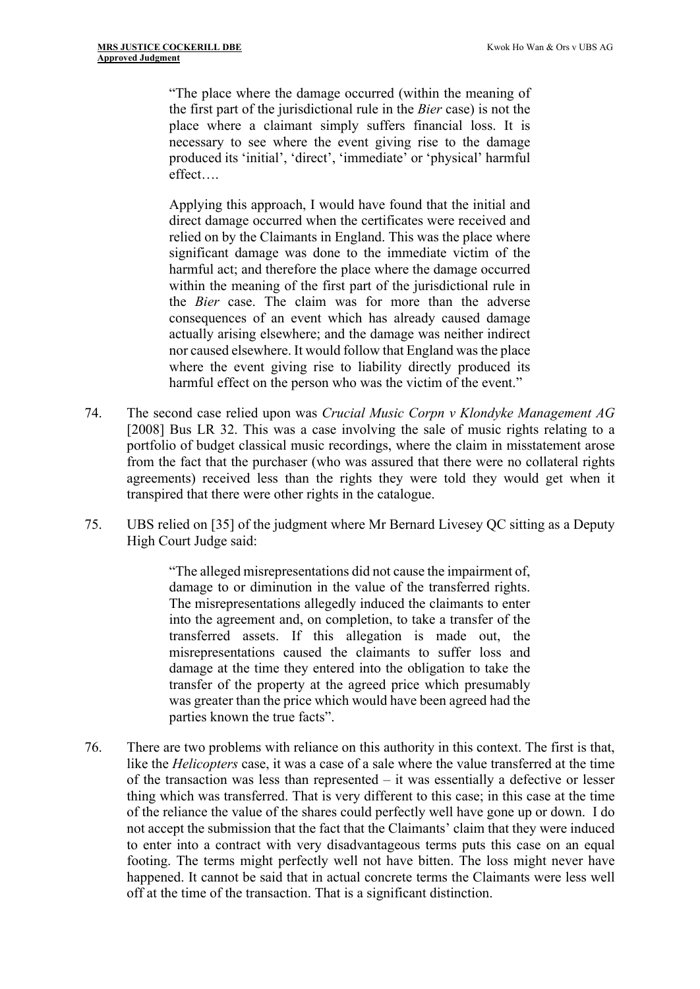"The place where the damage occurred (within the meaning of the first part of the jurisdictional rule in the *Bier* case) is not the place where a claimant simply suffers financial loss. It is necessary to see where the event giving rise to the damage produced its 'initial', 'direct', 'immediate' or 'physical' harmful effect….

Applying this approach, I would have found that the initial and direct damage occurred when the certificates were received and relied on by the Claimants in England. This was the place where significant damage was done to the immediate victim of the harmful act; and therefore the place where the damage occurred within the meaning of the first part of the jurisdictional rule in the *Bier* case. The claim was for more than the adverse consequences of an event which has already caused damage actually arising elsewhere; and the damage was neither indirect nor caused elsewhere. It would follow that England was the place where the event giving rise to liability directly produced its harmful effect on the person who was the victim of the event."

- 74. The second case relied upon was *Crucial Music Corpn v Klondyke Management AG* [2008] Bus LR 32. This was a case involving the sale of music rights relating to a portfolio of budget classical music recordings, where the claim in misstatement arose from the fact that the purchaser (who was assured that there were no collateral rights agreements) received less than the rights they were told they would get when it transpired that there were other rights in the catalogue.
- 75. UBS relied on [35] of the judgment where Mr Bernard Livesey QC sitting as a Deputy High Court Judge said:

"The alleged misrepresentations did not cause the impairment of, damage to or diminution in the value of the transferred rights. The misrepresentations allegedly induced the claimants to enter into the agreement and, on completion, to take a transfer of the transferred assets. If this allegation is made out, the misrepresentations caused the claimants to suffer loss and damage at the time they entered into the obligation to take the transfer of the property at the agreed price which presumably was greater than the price which would have been agreed had the parties known the true facts".

76. There are two problems with reliance on this authority in this context. The first is that, like the *Helicopters* case, it was a case of a sale where the value transferred at the time of the transaction was less than represented – it was essentially a defective or lesser thing which was transferred. That is very different to this case; in this case at the time of the reliance the value of the shares could perfectly well have gone up or down. I do not accept the submission that the fact that the Claimants' claim that they were induced to enter into a contract with very disadvantageous terms puts this case on an equal footing. The terms might perfectly well not have bitten. The loss might never have happened. It cannot be said that in actual concrete terms the Claimants were less well off at the time of the transaction. That is a significant distinction.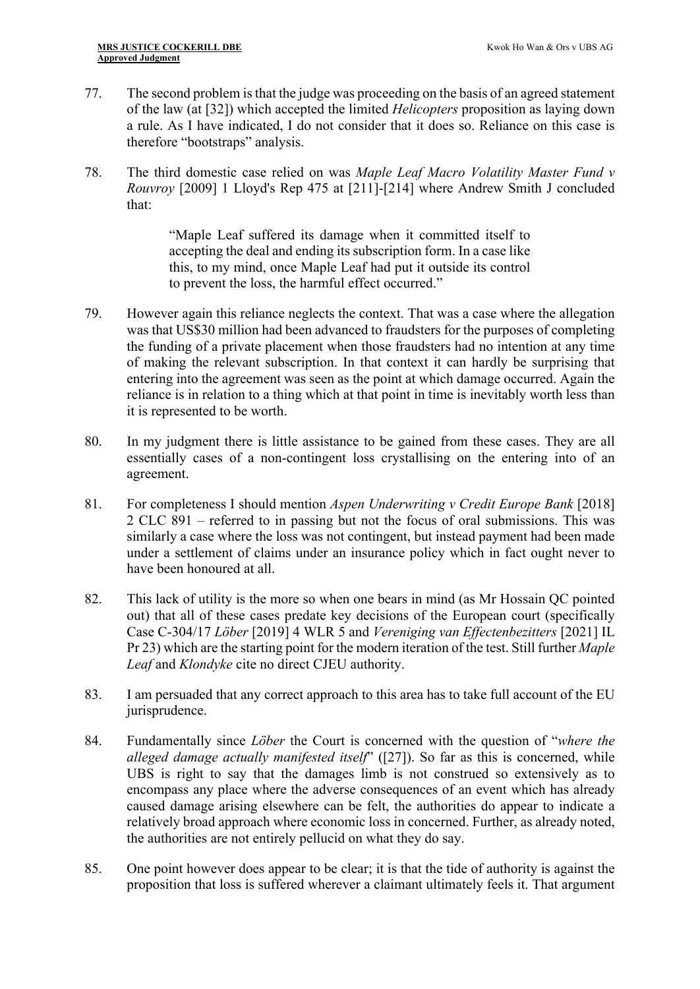- 77. The second problem is that the judge was proceeding on the basis of an agreed statement of the law (at [32]) which accepted the limited *Helicopters* proposition as laying down a rule. As I have indicated, I do not consider that it does so. Reliance on this case is therefore "bootstraps" analysis.
- 78. The third domestic case relied on was *Maple Leaf Macro Volatility Master Fund v Rouvroy* [2009] 1 Lloyd's Rep 475 at [211]-[214] where Andrew Smith J concluded that:

"Maple Leaf suffered its damage when it committed itself to accepting the deal and ending its subscription form. In a case like this, to my mind, once Maple Leaf had put it outside its control to prevent the loss, the harmful effect occurred."

- 79. However again this reliance neglects the context. That was a case where the allegation was that US\$30 million had been advanced to fraudsters for the purposes of completing the funding of a private placement when those fraudsters had no intention at any time of making the relevant subscription. In that context it can hardly be surprising that entering into the agreement was seen as the point at which damage occurred. Again the reliance is in relation to a thing which at that point in time is inevitably worth less than it is represented to be worth.
- 80. In my judgment there is little assistance to be gained from these cases. They are all essentially cases of a non-contingent loss crystallising on the entering into of an agreement.
- 81. For completeness I should mention *Aspen Underwriting v Credit Europe Bank* [2018] 2 CLC 891 – referred to in passing but not the focus of oral submissions. This was similarly a case where the loss was not contingent, but instead payment had been made under a settlement of claims under an insurance policy which in fact ought never to have been honoured at all.
- 82. This lack of utility is the more so when one bears in mind (as Mr Hossain QC pointed out) that all of these cases predate key decisions of the European court (specifically Case C-304/17 *Löber* [2019] 4 WLR 5 and *Vereniging van Effectenbezitters* [2021] IL Pr 23) which are the starting point for the modern iteration of the test. Still further *Maple Leaf* and *Klondyke* cite no direct CJEU authority.
- 83. I am persuaded that any correct approach to this area has to take full account of the EU jurisprudence.
- 84. Fundamentally since *Löber* the Court is concerned with the question of "*where the alleged damage actually manifested itself*" ([27]). So far as this is concerned, while UBS is right to say that the damages limb is not construed so extensively as to encompass any place where the adverse consequences of an event which has already caused damage arising elsewhere can be felt, the authorities do appear to indicate a relatively broad approach where economic loss in concerned. Further, as already noted, the authorities are not entirely pellucid on what they do say.
- 85. One point however does appear to be clear; it is that the tide of authority is against the proposition that loss is suffered wherever a claimant ultimately feels it. That argument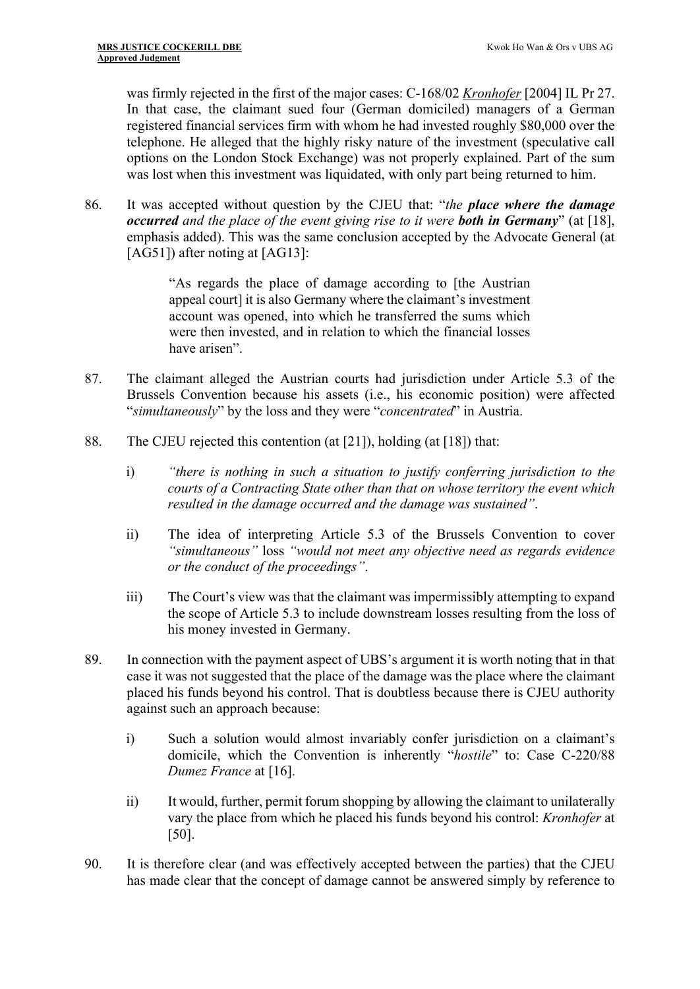was firmly rejected in the first of the major cases: C-168/02 *Kronhofer* [2004] IL Pr 27. In that case, the claimant sued four (German domiciled) managers of a German registered financial services firm with whom he had invested roughly \$80,000 over the telephone. He alleged that the highly risky nature of the investment (speculative call options on the London Stock Exchange) was not properly explained. Part of the sum was lost when this investment was liquidated, with only part being returned to him.

86. It was accepted without question by the CJEU that: "*the place where the damage occurred and the place of the event giving rise to it were both in Germany*" (at [18], emphasis added). This was the same conclusion accepted by the Advocate General (at [AG51]) after noting at [AG13]:

> "As regards the place of damage according to [the Austrian appeal court] it is also Germany where the claimant's investment account was opened, into which he transferred the sums which were then invested, and in relation to which the financial losses have arisen".

- 87. The claimant alleged the Austrian courts had jurisdiction under Article 5.3 of the Brussels Convention because his assets (i.e., his economic position) were affected "*simultaneously*" by the loss and they were "*concentrated*" in Austria.
- 88. The CJEU rejected this contention (at [21]), holding (at [18]) that:
	- i) *"there is nothing in such a situation to justify conferring jurisdiction to the courts of a Contracting State other than that on whose territory the event which resulted in the damage occurred and the damage was sustained"*.
	- ii) The idea of interpreting Article 5.3 of the Brussels Convention to cover *"simultaneous"* loss *"would not meet any objective need as regards evidence or the conduct of the proceedings"*.
	- iii) The Court's view was that the claimant was impermissibly attempting to expand the scope of Article 5.3 to include downstream losses resulting from the loss of his money invested in Germany.
- 89. In connection with the payment aspect of UBS's argument it is worth noting that in that case it was not suggested that the place of the damage was the place where the claimant placed his funds beyond his control. That is doubtless because there is CJEU authority against such an approach because:
	- i) Such a solution would almost invariably confer jurisdiction on a claimant's domicile, which the Convention is inherently "*hostile*" to: Case C-220/88 *Dumez France* at [16].
	- ii) It would, further, permit forum shopping by allowing the claimant to unilaterally vary the place from which he placed his funds beyond his control: *Kronhofer* at [50].
- 90. It is therefore clear (and was effectively accepted between the parties) that the CJEU has made clear that the concept of damage cannot be answered simply by reference to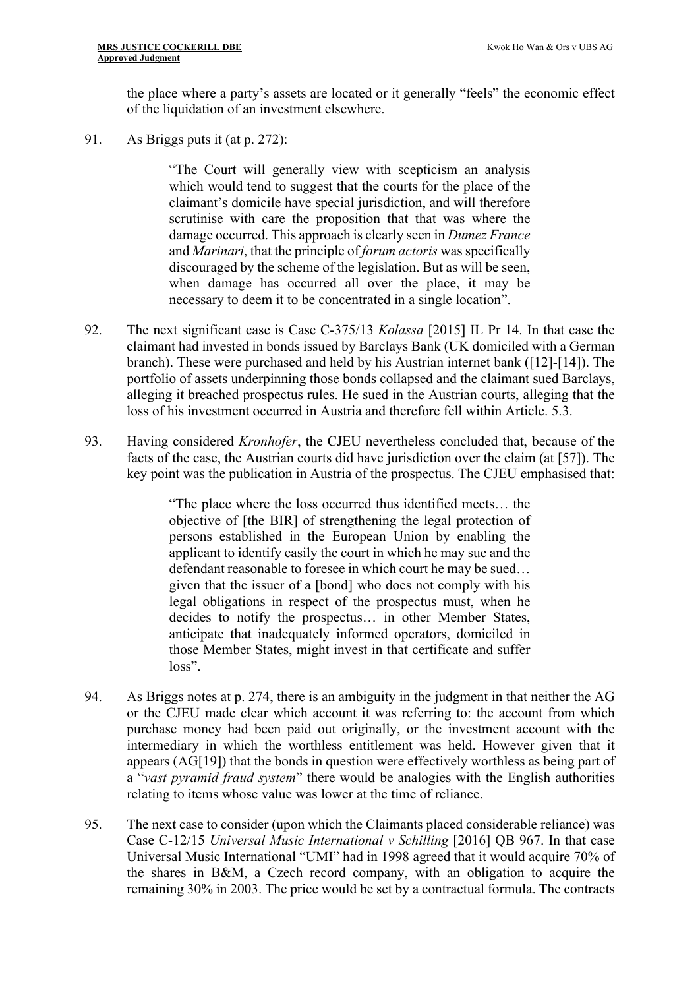the place where a party's assets are located or it generally "feels" the economic effect of the liquidation of an investment elsewhere.

91. As Briggs puts it (at p. 272):

"The Court will generally view with scepticism an analysis which would tend to suggest that the courts for the place of the claimant's domicile have special jurisdiction, and will therefore scrutinise with care the proposition that that was where the damage occurred. This approach is clearly seen in *Dumez France*  and *Marinari*, that the principle of *forum actoris* was specifically discouraged by the scheme of the legislation. But as will be seen, when damage has occurred all over the place, it may be necessary to deem it to be concentrated in a single location".

- 92. The next significant case is Case C-375/13 *Kolassa* [2015] IL Pr 14. In that case the claimant had invested in bonds issued by Barclays Bank (UK domiciled with a German branch). These were purchased and held by his Austrian internet bank ([12]-[14]). The portfolio of assets underpinning those bonds collapsed and the claimant sued Barclays, alleging it breached prospectus rules. He sued in the Austrian courts, alleging that the loss of his investment occurred in Austria and therefore fell within Article. 5.3.
- 93. Having considered *Kronhofer*, the CJEU nevertheless concluded that, because of the facts of the case, the Austrian courts did have jurisdiction over the claim (at [57]). The key point was the publication in Austria of the prospectus. The CJEU emphasised that:

"The place where the loss occurred thus identified meets… the objective of [the BIR] of strengthening the legal protection of persons established in the European Union by enabling the applicant to identify easily the court in which he may sue and the defendant reasonable to foresee in which court he may be sued… given that the issuer of a [bond] who does not comply with his legal obligations in respect of the prospectus must, when he decides to notify the prospectus… in other Member States, anticipate that inadequately informed operators, domiciled in those Member States, might invest in that certificate and suffer loss".

- 94. As Briggs notes at p. 274, there is an ambiguity in the judgment in that neither the AG or the CJEU made clear which account it was referring to: the account from which purchase money had been paid out originally, or the investment account with the intermediary in which the worthless entitlement was held. However given that it appears (AG[19]) that the bonds in question were effectively worthless as being part of a "*vast pyramid fraud system*" there would be analogies with the English authorities relating to items whose value was lower at the time of reliance.
- 95. The next case to consider (upon which the Claimants placed considerable reliance) was Case C-12/15 *Universal Music International v Schilling* [2016] QB 967. In that case Universal Music International "UMI" had in 1998 agreed that it would acquire 70% of the shares in B&M, a Czech record company, with an obligation to acquire the remaining 30% in 2003. The price would be set by a contractual formula. The contracts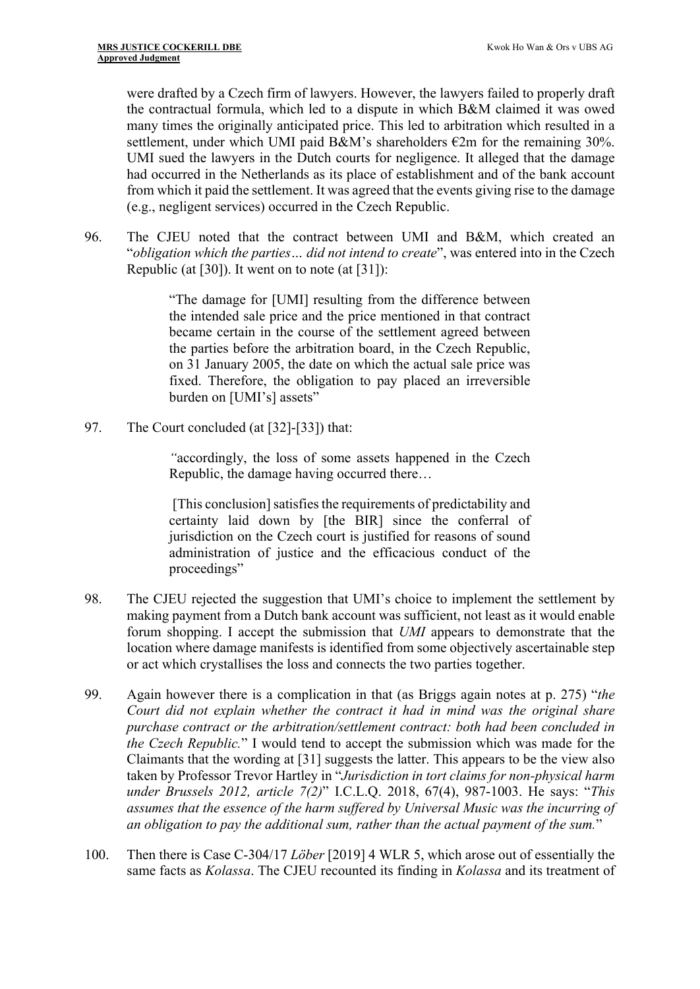were drafted by a Czech firm of lawyers. However, the lawyers failed to properly draft the contractual formula, which led to a dispute in which B&M claimed it was owed many times the originally anticipated price. This led to arbitration which resulted in a settlement, under which UMI paid B&M's shareholders  $\epsilon$ 2m for the remaining 30%. UMI sued the lawyers in the Dutch courts for negligence. It alleged that the damage had occurred in the Netherlands as its place of establishment and of the bank account from which it paid the settlement. It was agreed that the events giving rise to the damage (e.g., negligent services) occurred in the Czech Republic.

96. The CJEU noted that the contract between UMI and B&M, which created an "*obligation which the parties… did not intend to create*", was entered into in the Czech Republic (at [30]). It went on to note (at [31]):

> "The damage for [UMI] resulting from the difference between the intended sale price and the price mentioned in that contract became certain in the course of the settlement agreed between the parties before the arbitration board, in the Czech Republic, on 31 January 2005, the date on which the actual sale price was fixed. Therefore, the obligation to pay placed an irreversible burden on [UMI's] assets"

97. The Court concluded (at [32]-[33]) that:

*"*accordingly, the loss of some assets happened in the Czech Republic, the damage having occurred there…

 [This conclusion] satisfies the requirements of predictability and certainty laid down by [the BIR] since the conferral of jurisdiction on the Czech court is justified for reasons of sound administration of justice and the efficacious conduct of the proceedings"

- 98. The CJEU rejected the suggestion that UMI's choice to implement the settlement by making payment from a Dutch bank account was sufficient, not least as it would enable forum shopping. I accept the submission that *UMI* appears to demonstrate that the location where damage manifests is identified from some objectively ascertainable step or act which crystallises the loss and connects the two parties together.
- 99. Again however there is a complication in that (as Briggs again notes at p. 275) "*the Court did not explain whether the contract it had in mind was the original share purchase contract or the arbitration/settlement contract: both had been concluded in the Czech Republic.*" I would tend to accept the submission which was made for the Claimants that the wording at [31] suggests the latter. This appears to be the view also taken by Professor Trevor Hartley in "*Jurisdiction in tort claims for non-physical harm under Brussels 2012, article 7(2)*" I.C.L.Q. 2018, 67(4), 987-1003. He says: "*This assumes that the essence of the harm suffered by Universal Music was the incurring of an obligation to pay the additional sum, rather than the actual payment of the sum.*"
- 100. Then there is Case C-304/17 *Löber* [2019] 4 WLR 5, which arose out of essentially the same facts as *Kolassa*. The CJEU recounted its finding in *Kolassa* and its treatment of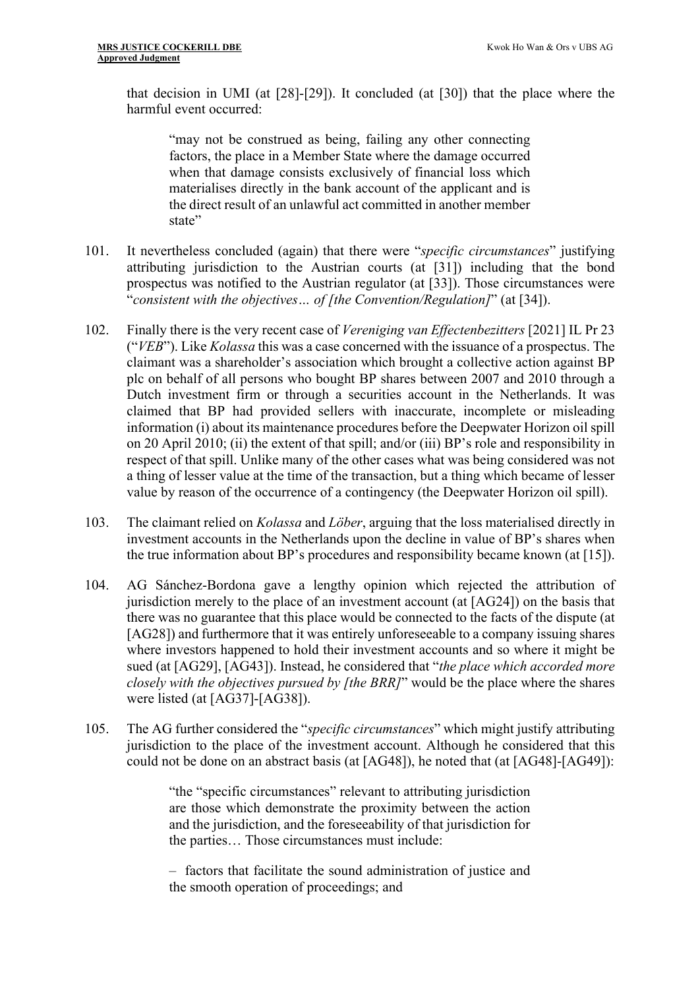that decision in UMI (at [28]-[29]). It concluded (at [30]) that the place where the harmful event occurred:

"may not be construed as being, failing any other connecting factors, the place in a Member State where the damage occurred when that damage consists exclusively of financial loss which materialises directly in the bank account of the applicant and is the direct result of an unlawful act committed in another member state"

- 101. It nevertheless concluded (again) that there were "*specific circumstances*" justifying attributing jurisdiction to the Austrian courts (at [31]) including that the bond prospectus was notified to the Austrian regulator (at [33]). Those circumstances were "*consistent with the objectives… of [the Convention/Regulation]*" (at [34]).
- 102. Finally there is the very recent case of *Vereniging van Effectenbezitters* [2021] IL Pr 23 ("*VEB*"). Like *Kolassa* this was a case concerned with the issuance of a prospectus. The claimant was a shareholder's association which brought a collective action against BP plc on behalf of all persons who bought BP shares between 2007 and 2010 through a Dutch investment firm or through a securities account in the Netherlands. It was claimed that BP had provided sellers with inaccurate, incomplete or misleading information (i) about its maintenance procedures before the Deepwater Horizon oil spill on 20 April 2010; (ii) the extent of that spill; and/or (iii) BP's role and responsibility in respect of that spill. Unlike many of the other cases what was being considered was not a thing of lesser value at the time of the transaction, but a thing which became of lesser value by reason of the occurrence of a contingency (the Deepwater Horizon oil spill).
- 103. The claimant relied on *Kolassa* and *Löber*, arguing that the loss materialised directly in investment accounts in the Netherlands upon the decline in value of BP's shares when the true information about BP's procedures and responsibility became known (at [15]).
- 104. AG Sánchez-Bordona gave a lengthy opinion which rejected the attribution of jurisdiction merely to the place of an investment account (at [AG24]) on the basis that there was no guarantee that this place would be connected to the facts of the dispute (at [AG28]) and furthermore that it was entirely unforeseeable to a company issuing shares where investors happened to hold their investment accounts and so where it might be sued (at [AG29], [AG43]). Instead, he considered that "*the place which accorded more closely with the objectives pursued by [the BRR]*" would be the place where the shares were listed (at [AG37]-[AG38]).
- 105. The AG further considered the "*specific circumstances*" which might justify attributing jurisdiction to the place of the investment account. Although he considered that this could not be done on an abstract basis (at [AG48]), he noted that (at [AG48]-[AG49]):

"the "specific circumstances" relevant to attributing jurisdiction are those which demonstrate the proximity between the action and the jurisdiction, and the foreseeability of that jurisdiction for the parties… Those circumstances must include:

– factors that facilitate the sound administration of justice and the smooth operation of proceedings; and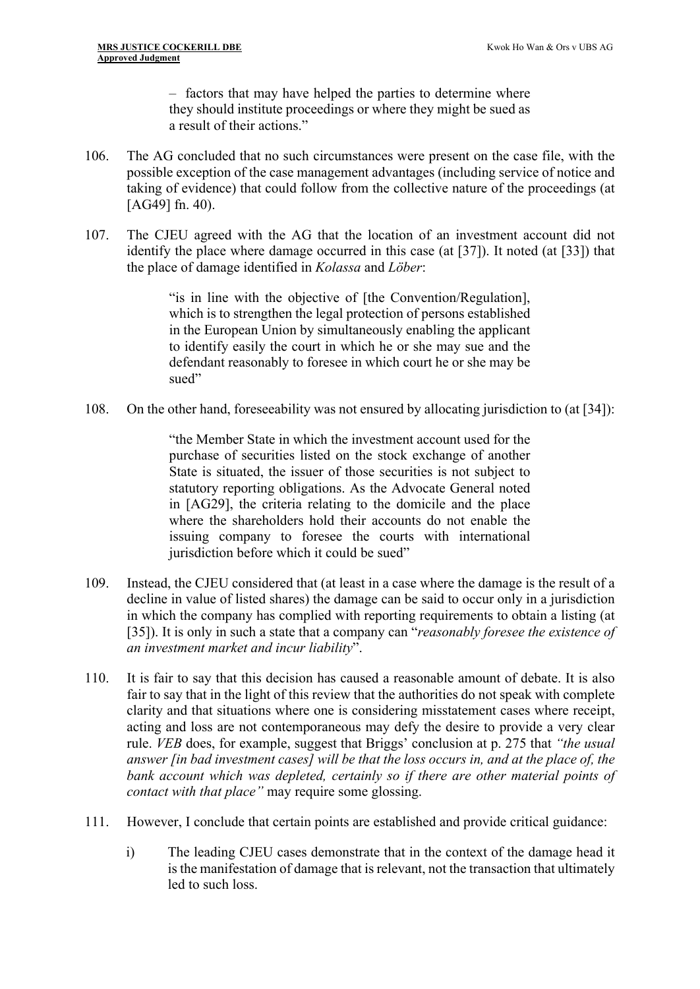– factors that may have helped the parties to determine where they should institute proceedings or where they might be sued as a result of their actions."

- 106. The AG concluded that no such circumstances were present on the case file, with the possible exception of the case management advantages (including service of notice and taking of evidence) that could follow from the collective nature of the proceedings (at [AG49] fn. 40).
- 107. The CJEU agreed with the AG that the location of an investment account did not identify the place where damage occurred in this case (at [37]). It noted (at [33]) that the place of damage identified in *Kolassa* and *Löber*:

"is in line with the objective of [the Convention/Regulation], which is to strengthen the legal protection of persons established in the European Union by simultaneously enabling the applicant to identify easily the court in which he or she may sue and the defendant reasonably to foresee in which court he or she may be sued"

108. On the other hand, foreseeability was not ensured by allocating jurisdiction to (at [34]):

"the Member State in which the investment account used for the purchase of securities listed on the stock exchange of another State is situated, the issuer of those securities is not subject to statutory reporting obligations. As the Advocate General noted in [AG29], the criteria relating to the domicile and the place where the shareholders hold their accounts do not enable the issuing company to foresee the courts with international jurisdiction before which it could be sued"

- 109. Instead, the CJEU considered that (at least in a case where the damage is the result of a decline in value of listed shares) the damage can be said to occur only in a jurisdiction in which the company has complied with reporting requirements to obtain a listing (at [35]). It is only in such a state that a company can "*reasonably foresee the existence of an investment market and incur liability*".
- 110. It is fair to say that this decision has caused a reasonable amount of debate. It is also fair to say that in the light of this review that the authorities do not speak with complete clarity and that situations where one is considering misstatement cases where receipt, acting and loss are not contemporaneous may defy the desire to provide a very clear rule. *VEB* does, for example, suggest that Briggs' conclusion at p. 275 that *"the usual answer [in bad investment cases] will be that the loss occurs in, and at the place of, the bank account which was depleted, certainly so if there are other material points of contact with that place"* may require some glossing.
- 111. However, I conclude that certain points are established and provide critical guidance:
	- i) The leading CJEU cases demonstrate that in the context of the damage head it is the manifestation of damage that is relevant, not the transaction that ultimately led to such loss.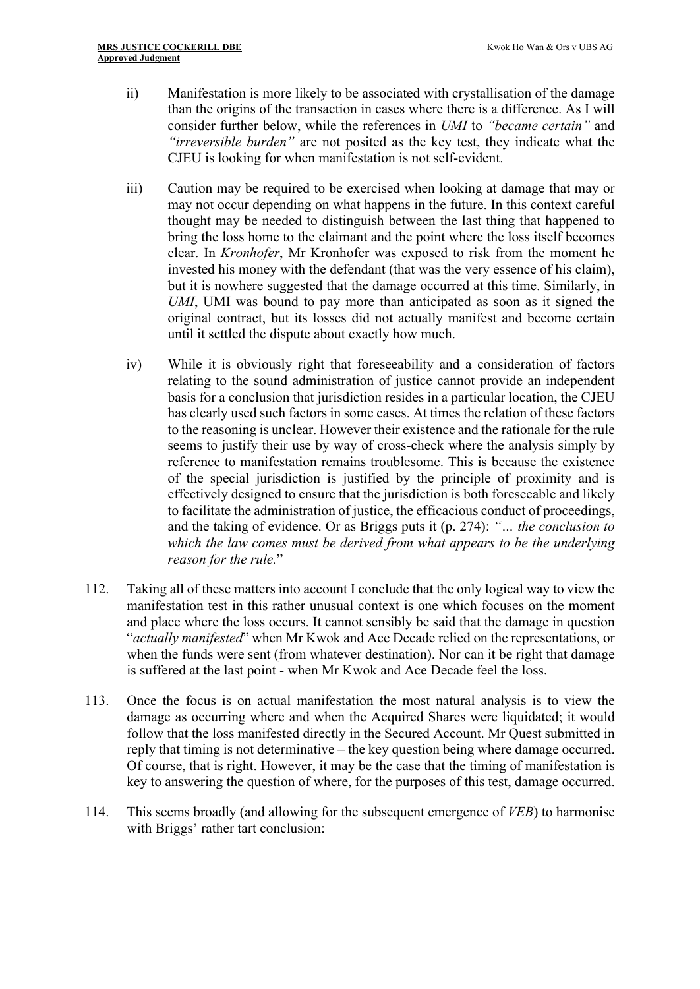- ii) Manifestation is more likely to be associated with crystallisation of the damage than the origins of the transaction in cases where there is a difference. As I will consider further below, while the references in *UMI* to *"became certain"* and *"irreversible burden"* are not posited as the key test, they indicate what the CJEU is looking for when manifestation is not self-evident.
- iii) Caution may be required to be exercised when looking at damage that may or may not occur depending on what happens in the future. In this context careful thought may be needed to distinguish between the last thing that happened to bring the loss home to the claimant and the point where the loss itself becomes clear. In *Kronhofer*, Mr Kronhofer was exposed to risk from the moment he invested his money with the defendant (that was the very essence of his claim), but it is nowhere suggested that the damage occurred at this time. Similarly, in *UMI*, UMI was bound to pay more than anticipated as soon as it signed the original contract, but its losses did not actually manifest and become certain until it settled the dispute about exactly how much.
- iv) While it is obviously right that foreseeability and a consideration of factors relating to the sound administration of justice cannot provide an independent basis for a conclusion that jurisdiction resides in a particular location, the CJEU has clearly used such factors in some cases. At times the relation of these factors to the reasoning is unclear. However their existence and the rationale for the rule seems to justify their use by way of cross-check where the analysis simply by reference to manifestation remains troublesome. This is because the existence of the special jurisdiction is justified by the principle of proximity and is effectively designed to ensure that the jurisdiction is both foreseeable and likely to facilitate the administration of justice, the efficacious conduct of proceedings, and the taking of evidence. Or as Briggs puts it (p. 274): *"… the conclusion to which the law comes must be derived from what appears to be the underlying reason for the rule.*"
- 112. Taking all of these matters into account I conclude that the only logical way to view the manifestation test in this rather unusual context is one which focuses on the moment and place where the loss occurs. It cannot sensibly be said that the damage in question "*actually manifested*" when Mr Kwok and Ace Decade relied on the representations, or when the funds were sent (from whatever destination). Nor can it be right that damage is suffered at the last point - when Mr Kwok and Ace Decade feel the loss.
- 113. Once the focus is on actual manifestation the most natural analysis is to view the damage as occurring where and when the Acquired Shares were liquidated; it would follow that the loss manifested directly in the Secured Account. Mr Quest submitted in reply that timing is not determinative – the key question being where damage occurred. Of course, that is right. However, it may be the case that the timing of manifestation is key to answering the question of where, for the purposes of this test, damage occurred.
- 114. This seems broadly (and allowing for the subsequent emergence of *VEB*) to harmonise with Briggs' rather tart conclusion: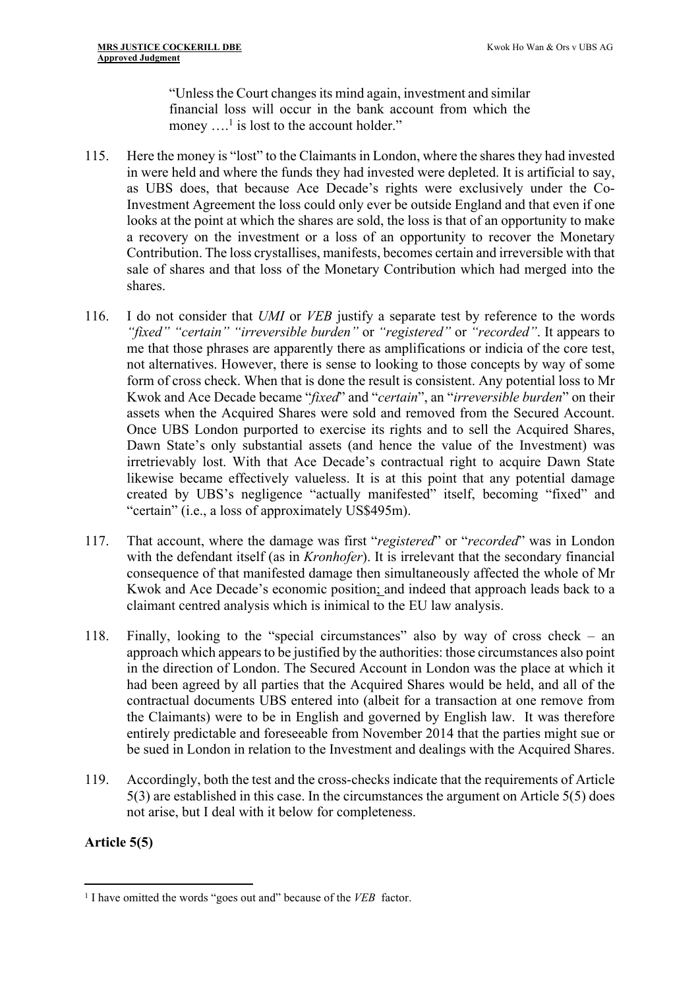"Unless the Court changes its mind again, investment and similar financial loss will occur in the bank account from which the money  $\dots$ <sup>1</sup> is lost to the account holder."

- 115. Here the money is "lost" to the Claimants in London, where the shares they had invested in were held and where the funds they had invested were depleted. It is artificial to say, as UBS does, that because Ace Decade's rights were exclusively under the Co-Investment Agreement the loss could only ever be outside England and that even if one looks at the point at which the shares are sold, the loss is that of an opportunity to make a recovery on the investment or a loss of an opportunity to recover the Monetary Contribution. The loss crystallises, manifests, becomes certain and irreversible with that sale of shares and that loss of the Monetary Contribution which had merged into the shares.
- 116. I do not consider that *UMI* or *VEB* justify a separate test by reference to the words *"fixed" "certain" "irreversible burden"* or *"registered"* or *"recorded"*. It appears to me that those phrases are apparently there as amplifications or indicia of the core test, not alternatives. However, there is sense to looking to those concepts by way of some form of cross check. When that is done the result is consistent. Any potential loss to Mr Kwok and Ace Decade became "*fixed*" and "*certain*", an "*irreversible burden*" on their assets when the Acquired Shares were sold and removed from the Secured Account. Once UBS London purported to exercise its rights and to sell the Acquired Shares, Dawn State's only substantial assets (and hence the value of the Investment) was irretrievably lost. With that Ace Decade's contractual right to acquire Dawn State likewise became effectively valueless. It is at this point that any potential damage created by UBS's negligence "actually manifested" itself, becoming "fixed" and "certain" (i.e., a loss of approximately US\$495m).
- 117. That account, where the damage was first "*registered*" or "*recorded*" was in London with the defendant itself (as in *Kronhofer*). It is irrelevant that the secondary financial consequence of that manifested damage then simultaneously affected the whole of Mr Kwok and Ace Decade's economic position; and indeed that approach leads back to a claimant centred analysis which is inimical to the EU law analysis.
- 118. Finally, looking to the "special circumstances" also by way of cross check an approach which appears to be justified by the authorities: those circumstances also point in the direction of London. The Secured Account in London was the place at which it had been agreed by all parties that the Acquired Shares would be held, and all of the contractual documents UBS entered into (albeit for a transaction at one remove from the Claimants) were to be in English and governed by English law. It was therefore entirely predictable and foreseeable from November 2014 that the parties might sue or be sued in London in relation to the Investment and dealings with the Acquired Shares.
- 119. Accordingly, both the test and the cross-checks indicate that the requirements of Article 5(3) are established in this case. In the circumstances the argument on Article 5(5) does not arise, but I deal with it below for completeness.

## **Article 5(5)**

<sup>1</sup> I have omitted the words "goes out and" because of the *VEB* factor.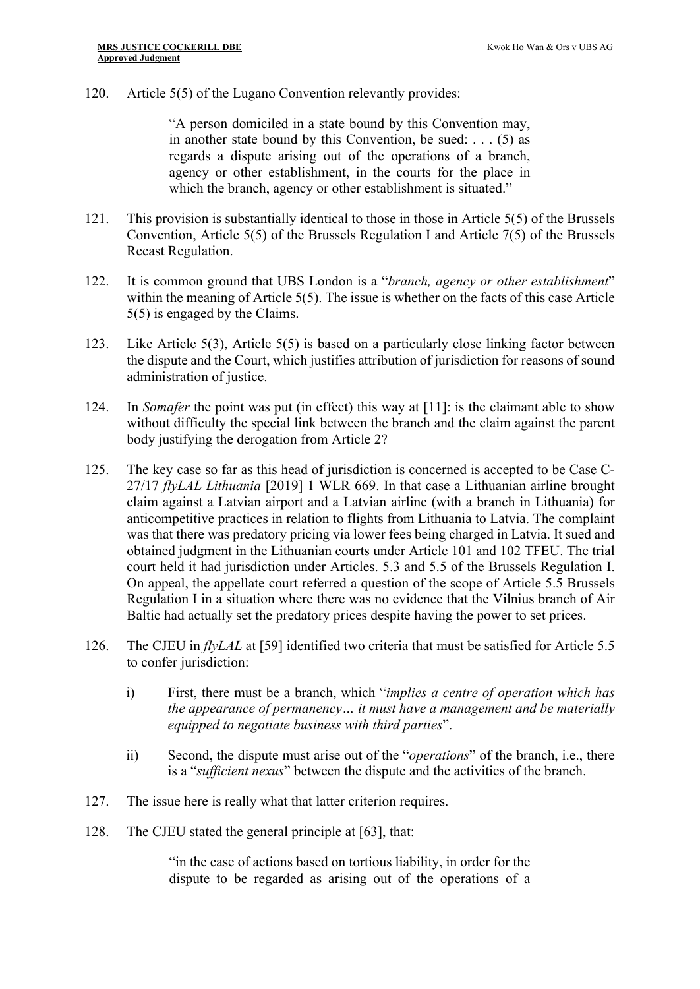120. Article 5(5) of the Lugano Convention relevantly provides:

"A person domiciled in a state bound by this Convention may, in another state bound by this Convention, be sued: . . . (5) as regards a dispute arising out of the operations of a branch, agency or other establishment, in the courts for the place in which the branch, agency or other establishment is situated."

- 121. This provision is substantially identical to those in those in Article 5(5) of the Brussels Convention, Article 5(5) of the Brussels Regulation I and Article 7(5) of the Brussels Recast Regulation.
- 122. It is common ground that UBS London is a "*branch, agency or other establishment*" within the meaning of Article 5(5). The issue is whether on the facts of this case Article 5(5) is engaged by the Claims.
- 123. Like Article 5(3), Article 5(5) is based on a particularly close linking factor between the dispute and the Court, which justifies attribution of jurisdiction for reasons of sound administration of justice.
- 124. In *Somafer* the point was put (in effect) this way at [11]: is the claimant able to show without difficulty the special link between the branch and the claim against the parent body justifying the derogation from Article 2?
- 125. The key case so far as this head of jurisdiction is concerned is accepted to be Case C-27/17 *flyLAL Lithuania* [2019] 1 WLR 669. In that case a Lithuanian airline brought claim against a Latvian airport and a Latvian airline (with a branch in Lithuania) for anticompetitive practices in relation to flights from Lithuania to Latvia. The complaint was that there was predatory pricing via lower fees being charged in Latvia. It sued and obtained judgment in the Lithuanian courts under Article 101 and 102 TFEU. The trial court held it had jurisdiction under Articles. 5.3 and 5.5 of the Brussels Regulation I. On appeal, the appellate court referred a question of the scope of Article 5.5 Brussels Regulation I in a situation where there was no evidence that the Vilnius branch of Air Baltic had actually set the predatory prices despite having the power to set prices.
- 126. The CJEU in *flyLAL* at [59] identified two criteria that must be satisfied for Article 5.5 to confer jurisdiction:
	- i) First, there must be a branch, which "*implies a centre of operation which has the appearance of permanency… it must have a management and be materially equipped to negotiate business with third parties*".
	- ii) Second, the dispute must arise out of the "*operations*" of the branch, i.e., there is a "*sufficient nexus*" between the dispute and the activities of the branch.
- 127. The issue here is really what that latter criterion requires.
- 128. The CJEU stated the general principle at [63], that:

"in the case of actions based on tortious liability, in order for the dispute to be regarded as arising out of the operations of a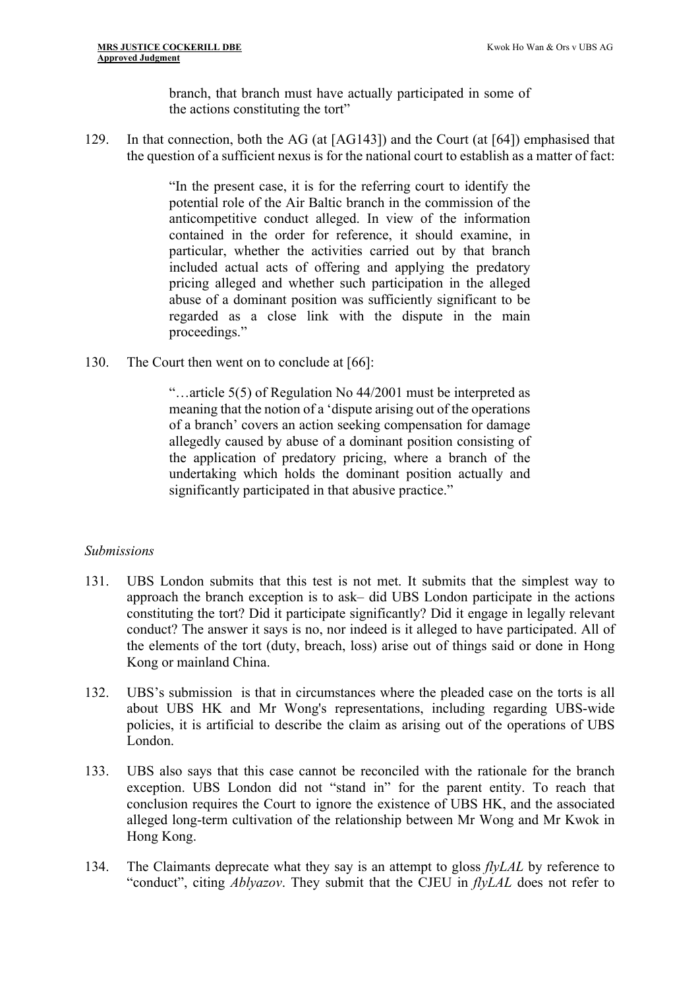branch, that branch must have actually participated in some of the actions constituting the tort"

129. In that connection, both the AG (at [AG143]) and the Court (at [64]) emphasised that the question of a sufficient nexus is for the national court to establish as a matter of fact:

> "In the present case, it is for the referring court to identify the potential role of the Air Baltic branch in the commission of the anticompetitive conduct alleged. In view of the information contained in the order for reference, it should examine, in particular, whether the activities carried out by that branch included actual acts of offering and applying the predatory pricing alleged and whether such participation in the alleged abuse of a dominant position was sufficiently significant to be regarded as a close link with the dispute in the main proceedings."

130. The Court then went on to conclude at [66]:

"…article 5(5) of Regulation No 44/2001 must be interpreted as meaning that the notion of a 'dispute arising out of the operations of a branch' covers an action seeking compensation for damage allegedly caused by abuse of a dominant position consisting of the application of predatory pricing, where a branch of the undertaking which holds the dominant position actually and significantly participated in that abusive practice."

#### *Submissions*

- 131. UBS London submits that this test is not met. It submits that the simplest way to approach the branch exception is to ask– did UBS London participate in the actions constituting the tort? Did it participate significantly? Did it engage in legally relevant conduct? The answer it says is no, nor indeed is it alleged to have participated. All of the elements of the tort (duty, breach, loss) arise out of things said or done in Hong Kong or mainland China.
- 132. UBS's submission is that in circumstances where the pleaded case on the torts is all about UBS HK and Mr Wong's representations, including regarding UBS-wide policies, it is artificial to describe the claim as arising out of the operations of UBS London.
- 133. UBS also says that this case cannot be reconciled with the rationale for the branch exception. UBS London did not "stand in" for the parent entity. To reach that conclusion requires the Court to ignore the existence of UBS HK, and the associated alleged long-term cultivation of the relationship between Mr Wong and Mr Kwok in Hong Kong.
- 134. The Claimants deprecate what they say is an attempt to gloss *flyLAL* by reference to "conduct", citing *Ablyazov*. They submit that the CJEU in *flyLAL* does not refer to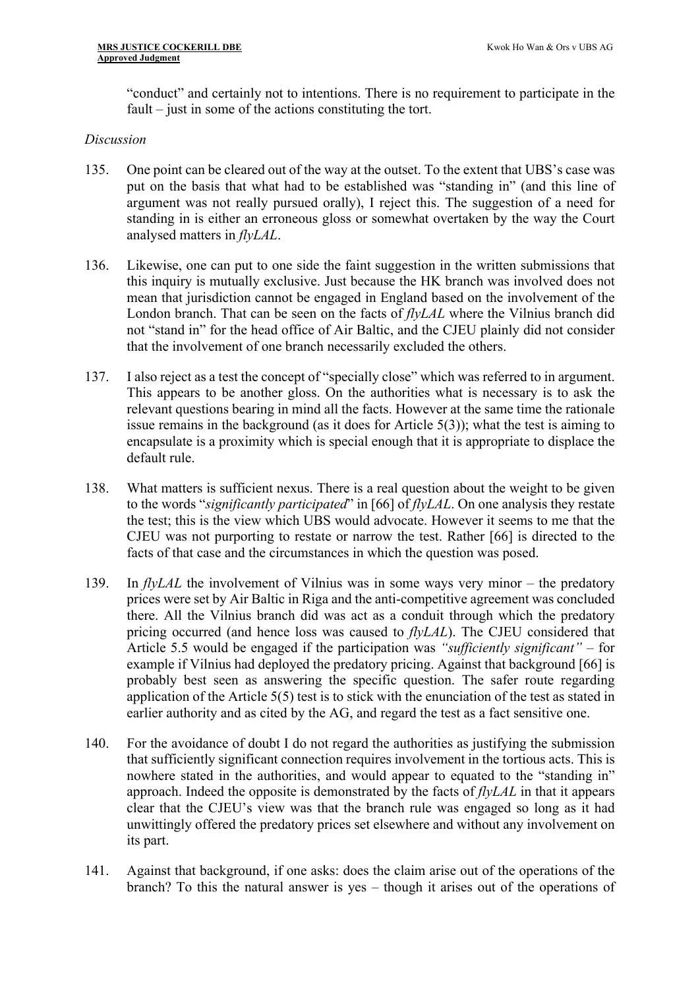"conduct" and certainly not to intentions. There is no requirement to participate in the fault – just in some of the actions constituting the tort.

#### *Discussion*

- 135. One point can be cleared out of the way at the outset. To the extent that UBS's case was put on the basis that what had to be established was "standing in" (and this line of argument was not really pursued orally), I reject this. The suggestion of a need for standing in is either an erroneous gloss or somewhat overtaken by the way the Court analysed matters in *flyLAL*.
- 136. Likewise, one can put to one side the faint suggestion in the written submissions that this inquiry is mutually exclusive. Just because the HK branch was involved does not mean that jurisdiction cannot be engaged in England based on the involvement of the London branch. That can be seen on the facts of *flyLAL* where the Vilnius branch did not "stand in" for the head office of Air Baltic, and the CJEU plainly did not consider that the involvement of one branch necessarily excluded the others.
- 137. I also reject as a test the concept of "specially close" which was referred to in argument. This appears to be another gloss. On the authorities what is necessary is to ask the relevant questions bearing in mind all the facts. However at the same time the rationale issue remains in the background (as it does for Article 5(3)); what the test is aiming to encapsulate is a proximity which is special enough that it is appropriate to displace the default rule.
- 138. What matters is sufficient nexus. There is a real question about the weight to be given to the words "*significantly participated*" in [66] of *flyLAL*. On one analysis they restate the test; this is the view which UBS would advocate. However it seems to me that the CJEU was not purporting to restate or narrow the test. Rather [66] is directed to the facts of that case and the circumstances in which the question was posed.
- 139. In *flyLAL* the involvement of Vilnius was in some ways very minor the predatory prices were set by Air Baltic in Riga and the anti-competitive agreement was concluded there. All the Vilnius branch did was act as a conduit through which the predatory pricing occurred (and hence loss was caused to *flyLAL*). The CJEU considered that Article 5.5 would be engaged if the participation was *"sufficiently significant"* – for example if Vilnius had deployed the predatory pricing. Against that background [66] is probably best seen as answering the specific question. The safer route regarding application of the Article 5(5) test is to stick with the enunciation of the test as stated in earlier authority and as cited by the AG, and regard the test as a fact sensitive one.
- 140. For the avoidance of doubt I do not regard the authorities as justifying the submission that sufficiently significant connection requires involvement in the tortious acts. This is nowhere stated in the authorities, and would appear to equated to the "standing in" approach. Indeed the opposite is demonstrated by the facts of *flyLAL* in that it appears clear that the CJEU's view was that the branch rule was engaged so long as it had unwittingly offered the predatory prices set elsewhere and without any involvement on its part.
- 141. Against that background, if one asks: does the claim arise out of the operations of the branch? To this the natural answer is yes – though it arises out of the operations of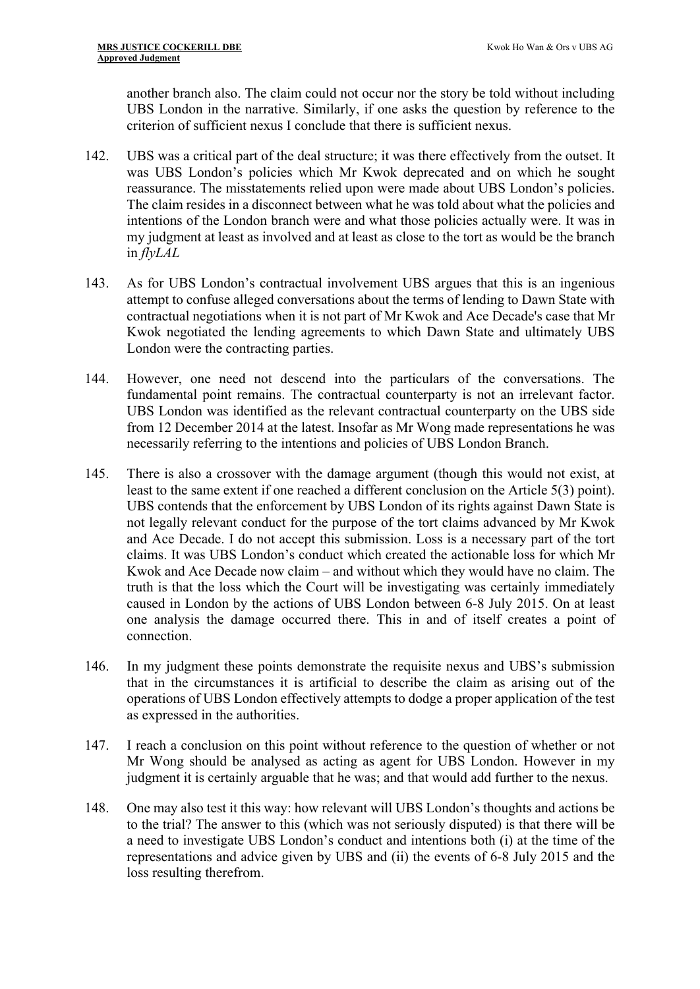another branch also. The claim could not occur nor the story be told without including UBS London in the narrative. Similarly, if one asks the question by reference to the criterion of sufficient nexus I conclude that there is sufficient nexus.

- 142. UBS was a critical part of the deal structure; it was there effectively from the outset. It was UBS London's policies which Mr Kwok deprecated and on which he sought reassurance. The misstatements relied upon were made about UBS London's policies. The claim resides in a disconnect between what he was told about what the policies and intentions of the London branch were and what those policies actually were. It was in my judgment at least as involved and at least as close to the tort as would be the branch in *flyLAL*
- 143. As for UBS London's contractual involvement UBS argues that this is an ingenious attempt to confuse alleged conversations about the terms of lending to Dawn State with contractual negotiations when it is not part of Mr Kwok and Ace Decade's case that Mr Kwok negotiated the lending agreements to which Dawn State and ultimately UBS London were the contracting parties.
- 144. However, one need not descend into the particulars of the conversations. The fundamental point remains. The contractual counterparty is not an irrelevant factor. UBS London was identified as the relevant contractual counterparty on the UBS side from 12 December 2014 at the latest. Insofar as Mr Wong made representations he was necessarily referring to the intentions and policies of UBS London Branch.
- 145. There is also a crossover with the damage argument (though this would not exist, at least to the same extent if one reached a different conclusion on the Article 5(3) point). UBS contends that the enforcement by UBS London of its rights against Dawn State is not legally relevant conduct for the purpose of the tort claims advanced by Mr Kwok and Ace Decade. I do not accept this submission. Loss is a necessary part of the tort claims. It was UBS London's conduct which created the actionable loss for which Mr Kwok and Ace Decade now claim – and without which they would have no claim. The truth is that the loss which the Court will be investigating was certainly immediately caused in London by the actions of UBS London between 6-8 July 2015. On at least one analysis the damage occurred there. This in and of itself creates a point of connection.
- 146. In my judgment these points demonstrate the requisite nexus and UBS's submission that in the circumstances it is artificial to describe the claim as arising out of the operations of UBS London effectively attempts to dodge a proper application of the test as expressed in the authorities.
- 147. I reach a conclusion on this point without reference to the question of whether or not Mr Wong should be analysed as acting as agent for UBS London. However in my judgment it is certainly arguable that he was; and that would add further to the nexus.
- 148. One may also test it this way: how relevant will UBS London's thoughts and actions be to the trial? The answer to this (which was not seriously disputed) is that there will be a need to investigate UBS London's conduct and intentions both (i) at the time of the representations and advice given by UBS and (ii) the events of 6-8 July 2015 and the loss resulting therefrom.